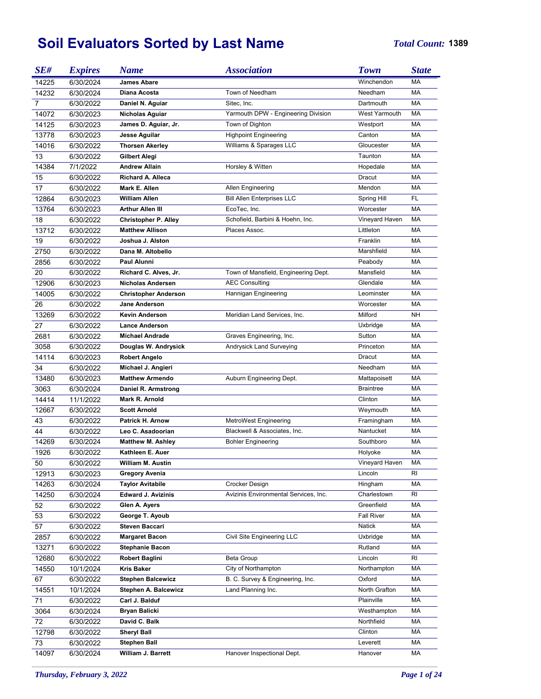## **Soil Evaluators Sorted by Last Name** *Total Count:* **<sup>1389</sup>**

| SE#            | <b>Expires</b> | <b>Name</b>                 | <b>Association</b>                    | <b>Town</b>          | <b>State</b> |
|----------------|----------------|-----------------------------|---------------------------------------|----------------------|--------------|
| 14225          | 6/30/2024      | James Abare                 |                                       | Winchendon           | МA           |
| 14232          | 6/30/2024      | Diana Acosta                | Town of Needham                       | Needham              | MA           |
| $\overline{7}$ | 6/30/2022      | Daniel N. Aguiar            | Sitec, Inc.                           | Dartmouth            | MA           |
| 14072          | 6/30/2023      | <b>Nicholas Aguiar</b>      | Yarmouth DPW - Engineering Division   | <b>West Yarmouth</b> | МA           |
| 14125          | 6/30/2023      | James D. Aguiar, Jr.        | Town of Dighton                       | Westport             | <b>MA</b>    |
| 13778          | 6/30/2023      | Jesse Aguilar               | <b>Highpoint Engineering</b>          | Canton               | МA           |
| 14016          | 6/30/2022      | <b>Thorsen Akerley</b>      | Williams & Sparages LLC               | Gloucester           | МA           |
| 13             | 6/30/2022      | Gilbert Alegi               |                                       | Taunton              | МA           |
| 14384          | 7/1/2022       | <b>Andrew Allain</b>        | Horsley & Witten                      | Hopedale             | МA           |
| 15             | 6/30/2022      | <b>Richard A. Alleca</b>    |                                       | Dracut               | МA           |
| 17             | 6/30/2022      | Mark E. Allen               | Allen Engineering                     | Mendon               | <b>MA</b>    |
| 12864          | 6/30/2023      | <b>William Allen</b>        | <b>Bill Allen Enterprises LLC</b>     | Spring Hill          | FL           |
| 13764          | 6/30/2023      | Arthur Allen III            | EcoTec, Inc.                          | Worcester            | МA           |
| 18             | 6/30/2022      | <b>Christopher P. Alley</b> | Schofield, Barbini & Hoehn, Inc.      | Vineyard Haven       | МA           |
| 13712          | 6/30/2022      | <b>Matthew Allison</b>      | Places Assoc.                         | Littleton            | МA           |
| 19             | 6/30/2022      | Joshua J. Alston            |                                       | Franklin             | МA           |
| 2750           | 6/30/2022      | Dana M. Altobello           |                                       | Marshfield           | МA           |
| 2856           | 6/30/2022      | Paul Alunni                 |                                       | Peabody              | МA           |
| 20             | 6/30/2022      | Richard C. Alves, Jr.       | Town of Mansfield, Engineering Dept.  | Mansfield            | МA           |
| 12906          | 6/30/2023      | <b>Nicholas Andersen</b>    | <b>AEC Consulting</b>                 | Glendale             | МA           |
| 14005          | 6/30/2022      | <b>Christopher Anderson</b> | Hannigan Engineering                  | Leominster           | МA           |
| 26             | 6/30/2022      | <b>Jane Anderson</b>        |                                       | Worcester            | МA           |
| 13269          | 6/30/2022      | Kevin Anderson              | Meridian Land Services, Inc.          | Milford              | NΗ           |
| 27             | 6/30/2022      | <b>Lance Anderson</b>       |                                       | Uxbridge             | МA           |
| 2681           | 6/30/2022      | <b>Michael Andrade</b>      | Graves Engineering, Inc.              | Sutton               | МA           |
| 3058           | 6/30/2022      | Douglas W. Andrysick        | Andrysick Land Surveying              | Princeton            | МA           |
| 14114          | 6/30/2023      | <b>Robert Angelo</b>        |                                       | Dracut               | МA           |
| 34             | 6/30/2022      | Michael J. Angieri          |                                       | Needham              | МA           |
| 13480          | 6/30/2023      | <b>Matthew Armendo</b>      | Auburn Engineering Dept.              | Mattapoisett         | МA           |
| 3063           | 6/30/2024      | Daniel R. Armstrong         |                                       | Braintree            | МA           |
| 14414          | 11/1/2022      | Mark R. Arnold              |                                       | Clinton              | МA           |
| 12667          | 6/30/2022      | <b>Scott Arnold</b>         |                                       | Weymouth             | МA           |
| 43             | 6/30/2022      | Patrick H. Arnow            | MetroWest Engineering                 | Framingham           | МA           |
| 44             | 6/30/2022      | Leo C. Asadoorian           | Blackwell & Associates, Inc.          | Nantucket            | МA           |
| 14269          | 6/30/2024      | <b>Matthew M. Ashley</b>    | <b>Bohler Engineering</b>             | Southboro            | МA           |
| 1926           | 6/30/2022      | Kathleen E. Auer            |                                       | Holyoke              | МA           |
| 50             | 6/30/2022      | William M. Austin           |                                       | Vineyard Haven       | МA           |
| 12913          | 6/30/2023      | <b>Gregory Avenia</b>       |                                       | Lincoln              | RI           |
| 14263          | 6/30/2024      | <b>Taylor Avitabile</b>     | Crocker Design                        | Hingham              | MA           |
| 14250          | 6/30/2024      | <b>Edward J. Avizinis</b>   | Avizinis Environmental Services, Inc. | Charlestown          | RI           |
| 52             | 6/30/2022      | Glen A. Ayers               |                                       | Greenfield           | МA           |
| 53             | 6/30/2022      | George T. Ayoub             |                                       | <b>Fall River</b>    | МA           |
| 57             | 6/30/2022      | <b>Steven Baccari</b>       |                                       | Natick               | МA           |
| 2857           | 6/30/2022      | <b>Margaret Bacon</b>       | Civil Site Engineering LLC            | Uxbridge             | MA           |
| 13271          | 6/30/2022      | <b>Stephanie Bacon</b>      |                                       | Rutland              | MA           |
| 12680          | 6/30/2022      | <b>Robert Baglini</b>       | Beta Group                            | Lincoln              | RI           |
| 14550          | 10/1/2024      | <b>Kris Baker</b>           | City of Northampton                   | Northampton          | MA           |
| 67             | 6/30/2022      | <b>Stephen Balcewicz</b>    | B. C. Survey & Engineering, Inc.      | Oxford               | MA           |
| 14551          | 10/1/2024      | Stephen A. Balcewicz        | Land Planning Inc.                    | North Grafton        | MA           |
| 71             | 6/30/2022      | Carl J. Balduf              |                                       | Plainville           | MA           |
| 3064           | 6/30/2024      | <b>Bryan Balicki</b>        |                                       | Westhampton          | MA           |
| 72             | 6/30/2022      | David C. Balk               |                                       | Northfield           | MA           |
| 12798          | 6/30/2022      | <b>Sheryl Ball</b>          |                                       | Clinton              | МA           |
|                |                |                             |                                       | Leverett             | MA           |
| 73             | 6/30/2022      | <b>Stephen Ball</b>         |                                       |                      |              |
| 14097          | 6/30/2024      | William J. Barrett          | Hanover Inspectional Dept.            | Hanover              | МA           |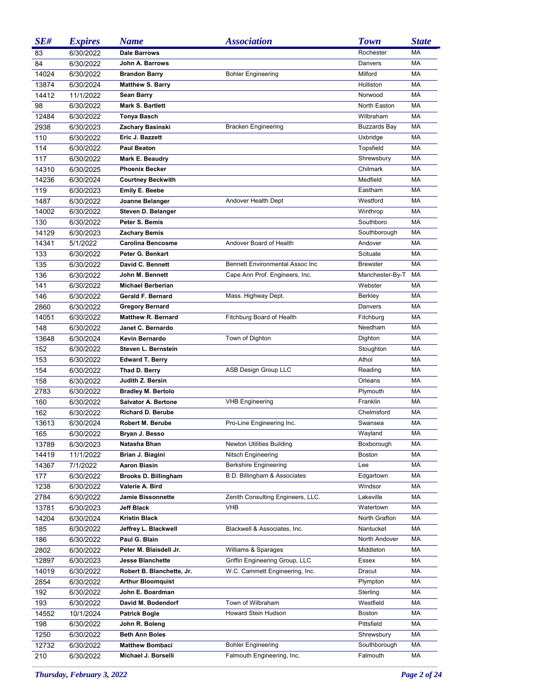| SE#   | <b>Expires</b> | <b>Name</b>                 | <b>Association</b>                     | <b>Town</b>         | <b>State</b> |
|-------|----------------|-----------------------------|----------------------------------------|---------------------|--------------|
| 83    | 6/30/2022      | <b>Dale Barrows</b>         |                                        | Rochester           | <b>MA</b>    |
| 84    | 6/30/2022      | John A. Barrows             |                                        | Danvers             | <b>MA</b>    |
| 14024 | 6/30/2022      | <b>Brandon Barry</b>        | <b>Bohler Engineering</b>              | Milford             | <b>MA</b>    |
| 13874 | 6/30/2024      | <b>Matthew S. Barry</b>     |                                        | Holliston           | <b>MA</b>    |
| 14412 | 11/1/2022      | <b>Sean Barry</b>           |                                        | Norwood             | <b>MA</b>    |
| 98    | 6/30/2022      | Mark S. Bartlett            |                                        | North Easton        | MA           |
| 12484 | 6/30/2022      | <b>Tonya Basch</b>          |                                        | Wilbraham           | <b>MA</b>    |
| 2938  | 6/30/2023      | Zachary Basinski            | <b>Bracken Engineering</b>             | <b>Buzzards Bay</b> | <b>MA</b>    |
| 110   | 6/30/2022      | Eric J. Bazzett             |                                        | Uxbridge            | <b>MA</b>    |
| 114   | 6/30/2022      | <b>Paul Beaton</b>          |                                        | Topsfield           | MA           |
| 117   | 6/30/2022      | Mark E. Beaudry             |                                        | Shrewsbury          | <b>MA</b>    |
| 14310 | 6/30/2025      | <b>Phoenix Becker</b>       |                                        | Chilmark            | <b>MA</b>    |
| 14236 | 6/30/2024      | <b>Courtney Beckwith</b>    |                                        | Medfield            | <b>MA</b>    |
| 119   | 6/30/2023      | <b>Emily E. Beebe</b>       |                                        | Eastham             | <b>MA</b>    |
| 1487  | 6/30/2022      | Joanne Belanger             | Andover Health Dept                    | Westford            | <b>MA</b>    |
| 14002 | 6/30/2022      | Steven D. Belanger          |                                        | Winthrop            | <b>MA</b>    |
| 130   | 6/30/2022      | Peter S. Bemis              |                                        | Southboro           | <b>MA</b>    |
| 14129 | 6/30/2023      | <b>Zachary Bemis</b>        |                                        | Southborough        | <b>MA</b>    |
| 14341 | 5/1/2022       | <b>Carolina Bencosme</b>    | Andover Board of Health                | Andover             | MA           |
| 133   | 6/30/2022      | Peter G. Benkart            |                                        | Scituate            | <b>MA</b>    |
| 135   | 6/30/2022      | David C. Bennett            | <b>Bennett Environmental Assoc Inc</b> | <b>Brewster</b>     | MA           |
| 136   | 6/30/2022      | John M. Bennett             | Cape Ann Prof. Engineers, Inc.         | Manchester-By-T     | MA           |
| 141   | 6/30/2022      | <b>Michael Berberian</b>    |                                        | Webster             | <b>MA</b>    |
| 146   | 6/30/2022      | Gerald F. Bernard           | Mass. Highway Dept.                    | <b>Berkley</b>      | <b>MA</b>    |
| 2860  | 6/30/2022      | <b>Gregory Bernard</b>      |                                        | Danvers             | <b>MA</b>    |
| 14051 | 6/30/2022      | <b>Matthew R. Bernard</b>   | Fitchburg Board of Health              | Fitchburg           | <b>MA</b>    |
| 148   | 6/30/2022      | Janet C. Bernardo           |                                        | Needham             | <b>MA</b>    |
| 13648 | 6/30/2024      | <b>Kevin Bernardo</b>       | Town of Dighton                        | Dighton             | <b>MA</b>    |
| 152   | 6/30/2022      | Steven L. Bernstein         |                                        | Stoughton           | <b>MA</b>    |
| 153   | 6/30/2022      | <b>Edward T. Berry</b>      |                                        | Athol               | <b>MA</b>    |
| 154   | 6/30/2022      | Thad D. Berry               | ASB Design Group LLC                   | Reading             | <b>MA</b>    |
| 158   | 6/30/2022      | Judith Z. Bersin            |                                        | Orleans             | <b>MA</b>    |
| 2783  | 6/30/2022      | <b>Bradley M. Bertolo</b>   |                                        | Plymouth            | MA           |
| 160   | 6/30/2022      | <b>Salvator A. Bertone</b>  | <b>VHB Engineering</b>                 | Franklin            | МA           |
| 162   | 6/30/2022      | <b>Richard D. Berube</b>    |                                        | Chelmsford          | MA           |
| 13613 | 6/30/2024      | <b>Robert M. Berube</b>     | Pro-Line Engineering Inc.              | Swansea             | MA           |
| 165   | 6/30/2022      | Bryan J. Besso              |                                        | Wayland             | МA           |
| 13789 | 6/30/2023      | Natasha Bhan                | <b>Newton Utilities Building</b>       | Boxborough          | МA           |
| 14419 | 11/1/2022      | Brian J. Biagini            | <b>Nitsch Engineering</b>              | <b>Boston</b>       | МA           |
| 14367 | 7/1/2022       | Aaron Biasin                | <b>Berkshire Engineering</b>           | Lee                 | МA           |
| 177   | 6/30/2022      | <b>Brooks D. Billingham</b> | B.D. Billingham & Associates           | Edgartown           | МA           |
| 1238  | 6/30/2022      | Valerie A. Bird             |                                        | Windsor             | МA           |
| 2784  | 6/30/2022      | <b>Jamie Bissonnette</b>    | Zenith Consulting Engineers, LLC.      | Lakeville           | МA           |
| 13781 | 6/30/2023      | Jeff Black                  | <b>VHB</b>                             | Watertown           | МA           |
| 14204 | 6/30/2024      | <b>Kristin Black</b>        |                                        | North Grafton       | МA           |
| 185   | 6/30/2022      | Jeffrey L. Blackwell        | Blackwell & Associates, Inc.           | Nantucket           | МA           |
| 186   | 6/30/2022      | Paul G. Blain               |                                        | North Andover       | МA           |
| 2802  | 6/30/2022      | Peter M. Blaisdell Jr.      | Williams & Sparages                    | Middleton           | МA           |
| 12897 | 6/30/2023      | <b>Jesse Blanchette</b>     | Griffin Engineering Group, LLC         | Essex               | МA           |
| 14019 | 6/30/2022      | Robert B. Blanchette, Jr.   | W.C. Cammett Engineering, Inc.         | Dracut              | МA           |
| 2854  | 6/30/2022      | <b>Arthur Bloomquist</b>    |                                        | Plympton            | МA           |
| 192   | 6/30/2022      | John E. Boardman            |                                        | Sterling            | МA           |
| 193   | 6/30/2022      | David M. Bodendorf          | Town of Wilbraham                      | Westfield           | МA           |
| 14552 | 10/1/2024      | <b>Patrick Bogle</b>        | Howard Stein Hudson                    | Boston              | МA           |
| 198   | 6/30/2022      | John R. Boleng              |                                        | Pittsfield          | МA           |
| 1250  | 6/30/2022      | <b>Beth Ann Boles</b>       |                                        | Shrewsbury          | МA           |
| 12732 | 6/30/2022      | <b>Matthew Bombaci</b>      | <b>Bohler Engineering</b>              | Southborough        | МA           |
| 210   | 6/30/2022      | Michael J. Borselli         | Falmouth Engineering, Inc.             | Falmouth            | MA           |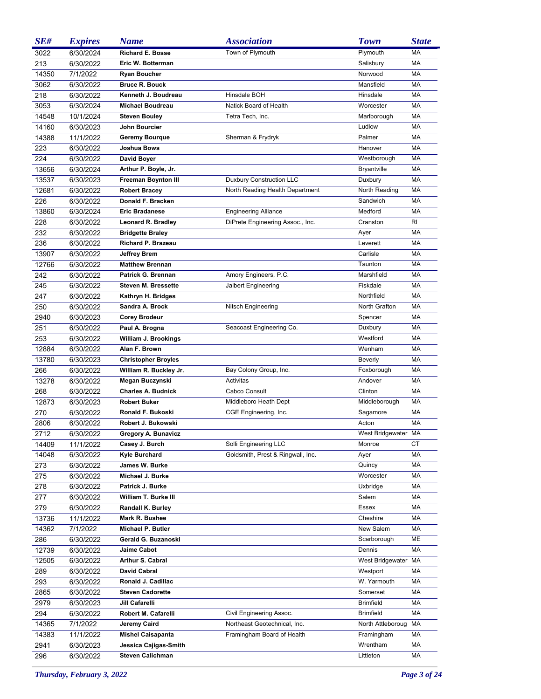| SE#   | <b>Expires</b> | <b>Name</b>                           | <b>Association</b>                | <b>Town</b>         | <b>State</b> |
|-------|----------------|---------------------------------------|-----------------------------------|---------------------|--------------|
| 3022  | 6/30/2024      | <b>Richard E. Bosse</b>               | Town of Plymouth                  | Plymouth            | MA           |
| 213   | 6/30/2022      | Eric W. Botterman                     |                                   | Salisbury           | MA           |
| 14350 | 7/1/2022       | <b>Ryan Boucher</b>                   |                                   | Norwood             | <b>MA</b>    |
| 3062  | 6/30/2022      | <b>Bruce R. Bouck</b>                 |                                   | Mansfield           | <b>MA</b>    |
| 218   | 6/30/2022      | Kenneth J. Boudreau                   | Hinsdale BOH                      | Hinsdale            | <b>MA</b>    |
| 3053  | 6/30/2024      | <b>Michael Boudreau</b>               | Natick Board of Health            | Worcester           | <b>MA</b>    |
| 14548 | 10/1/2024      | <b>Steven Bouley</b>                  | Tetra Tech, Inc.                  | Marlborough         | MA           |
| 14160 | 6/30/2023      | John Bourcier                         |                                   | Ludlow              | MA           |
| 14388 | 11/1/2022      | <b>Geremy Bourque</b>                 | Sherman & Frydryk                 | Palmer              | <b>MA</b>    |
| 223   | 6/30/2022      | Joshua Bows                           |                                   | Hanover             | <b>MA</b>    |
| 224   | 6/30/2022      | David Boyer                           |                                   | Westborough         | <b>MA</b>    |
| 13656 | 6/30/2024      | Arthur P. Boyle, Jr.                  |                                   | <b>Bryantville</b>  | <b>MA</b>    |
| 13537 | 6/30/2023      | <b>Freeman Boynton III</b>            | <b>Duxbury Construction LLC</b>   | Duxbury             | <b>MA</b>    |
| 12681 | 6/30/2022      | <b>Robert Bracey</b>                  | North Reading Health Department   | North Reading       | <b>MA</b>    |
| 226   | 6/30/2022      | Donald F. Bracken                     |                                   | Sandwich            | <b>MA</b>    |
| 13860 | 6/30/2024      | <b>Eric Bradanese</b>                 | <b>Engineering Alliance</b>       | Medford             | <b>MA</b>    |
| 228   | 6/30/2022      | Leonard R. Bradley                    | DiPrete Engineering Assoc., Inc.  | Cranston            | <b>RI</b>    |
| 232   | 6/30/2022      | <b>Bridgette Braley</b>               |                                   | Ayer                | <b>MA</b>    |
| 236   | 6/30/2022      | Richard P. Brazeau                    |                                   | Leverett            | <b>MA</b>    |
| 13907 | 6/30/2022      | <b>Jeffrey Brem</b>                   |                                   | Carlisle            | <b>MA</b>    |
| 12766 | 6/30/2022      | <b>Matthew Brennan</b>                |                                   | Taunton             | <b>MA</b>    |
| 242   | 6/30/2022      | Patrick G. Brennan                    | Amory Engineers, P.C.             | Marshfield          | <b>MA</b>    |
| 245   | 6/30/2022      | <b>Steven M. Bressette</b>            | Jalbert Engineering               | Fiskdale            | MA           |
| 247   |                |                                       |                                   | Northfield          | <b>MA</b>    |
|       | 6/30/2022      | Kathryn H. Bridges<br>Sandra A. Brock |                                   | North Grafton       | <b>MA</b>    |
| 250   | 6/30/2022      |                                       | Nitsch Engineering                |                     | <b>MA</b>    |
| 2940  | 6/30/2023      | <b>Corey Brodeur</b>                  |                                   | Spencer             | <b>MA</b>    |
| 251   | 6/30/2022      | Paul A. Brogna                        | Seacoast Engineering Co.          | Duxbury             |              |
| 253   | 6/30/2022      | William J. Brookings                  |                                   | Westford            | <b>MA</b>    |
| 12884 | 6/30/2022      | Alan F. Brown                         |                                   | Wenham              | <b>MA</b>    |
| 13780 | 6/30/2023      | <b>Christopher Broyles</b>            |                                   | Beverly             | <b>MA</b>    |
| 266   | 6/30/2022      | William R. Buckley Jr.                | Bay Colony Group, Inc.            | Foxborough          | <b>MA</b>    |
| 13278 | 6/30/2022      | Megan Buczynski                       | Activitas                         | Andover             | <b>MA</b>    |
| 268   | 6/30/2022      | <b>Charles A. Budnick</b>             | Cabco Consult                     | Clinton             | MA           |
| 12873 | 6/30/2023      | <b>Robert Buker</b>                   | Middleboro Heath Dept             | Middleborough       | MA           |
| 270   | 6/30/2022      | Ronald F. Bukoski                     | CGE Engineering, Inc.             | Sagamore            | МA           |
| 2806  | 6/30/2022      | Robert J. Bukowski                    |                                   | Acton               | MA           |
| 2712  | 6/30/2022      | <b>Gregory A. Bunavicz</b>            |                                   | West Bridgewater MA |              |
| 14409 | 11/1/2022      | Casey J. Burch                        | Solli Engineering LLC             | Monroe              | СT           |
| 14048 | 6/30/2022      | Kyle Burchard                         | Goldsmith, Prest & Ringwall, Inc. | Ayer                | МA           |
| 273   | 6/30/2022      | James W. Burke                        |                                   | Quincy              | МA           |
| 275   | 6/30/2022      | Michael J. Burke                      |                                   | Worcester           | МA           |
| 278   | 6/30/2022      | Patrick J. Burke                      |                                   | Uxbridge            | МA           |
| 277   | 6/30/2022      | William T. Burke III                  |                                   | Salem               | МA           |
| 279   | 6/30/2022      | <b>Randall K. Burley</b>              |                                   | Essex               | МA           |
| 13736 | 11/1/2022      | Mark R. Bushee                        |                                   | Cheshire            | МA           |
| 14362 | 7/1/2022       | Michael P. Butler                     |                                   | New Salem           | МA           |
| 286   | 6/30/2022      | Gerald G. Buzanoski                   |                                   | Scarborough         | ME           |
| 12739 | 6/30/2022      | Jaime Cabot                           |                                   | Dennis              | MA           |
| 12505 | 6/30/2022      | <b>Arthur S. Cabral</b>               |                                   | West Bridgewater MA |              |
| 289   | 6/30/2022      | <b>David Cabral</b>                   |                                   | Westport            | МA           |
| 293   | 6/30/2022      | Ronald J. Cadillac                    |                                   | W. Yarmouth         | МA           |
| 2865  | 6/30/2022      | <b>Steven Cadorette</b>               |                                   | Somerset            | МA           |
| 2979  | 6/30/2023      | Jill Cafarelli                        |                                   | <b>Brimfield</b>    | МA           |
| 294   | 6/30/2022      | Robert M. Cafarelli                   | Civil Engineering Assoc.          | <b>Brimfield</b>    | МA           |
| 14365 | 7/1/2022       | Jeremy Caird                          | Northeast Geotechnical, Inc.      | North Attleboroug   | МA           |
| 14383 | 11/1/2022      | <b>Mishel Caisapanta</b>              | Framingham Board of Health        | Framingham          | МA           |
| 2941  | 6/30/2023      | Jessica Cajigas-Smith                 |                                   | Wrentham            | МA           |
| 296   | 6/30/2022      | <b>Steven Calichman</b>               |                                   | Littleton           | MA           |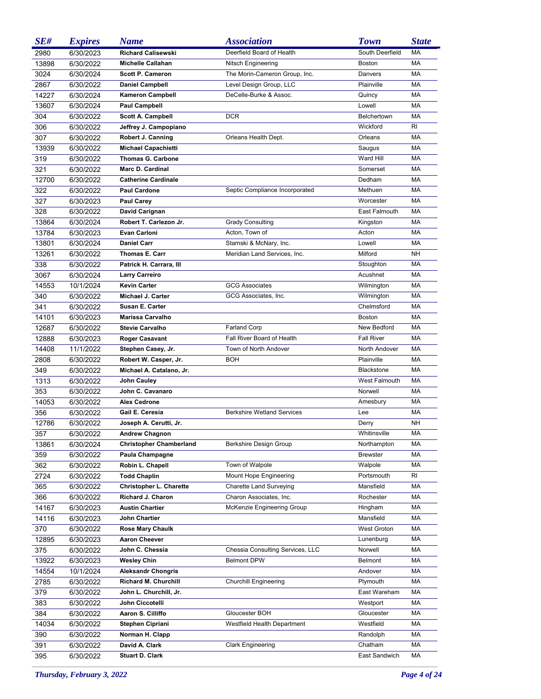| SE#   | <b>Expires</b> | <b>Name</b>                    | <i><b>Association</b></i>         | <b>Town</b>              | <b>State</b> |
|-------|----------------|--------------------------------|-----------------------------------|--------------------------|--------------|
| 2980  | 6/30/2023      | <b>Richard Calisewski</b>      | Deerfield Board of Health         | South Deerfield          | <b>MA</b>    |
| 13898 | 6/30/2022      | <b>Michelle Callahan</b>       | Nitsch Engineering                | <b>Boston</b>            | <b>MA</b>    |
| 3024  | 6/30/2024      | <b>Scott P. Cameron</b>        | The Morin-Cameron Group, Inc.     | Danvers                  | <b>MA</b>    |
| 2867  | 6/30/2022      | <b>Daniel Campbell</b>         | Level Design Group, LLC           | Plainville               | <b>MA</b>    |
| 14227 | 6/30/2024      | <b>Kameron Campbell</b>        | DeCelle-Burke & Assoc.            | Quincy                   | <b>MA</b>    |
| 13607 | 6/30/2024      | Paul Campbell                  |                                   | Lowell                   | <b>MA</b>    |
| 304   | 6/30/2022      | <b>Scott A. Campbell</b>       | <b>DCR</b>                        | Belchertown              | <b>MA</b>    |
| 306   | 6/30/2022      | Jeffrey J. Campopiano          |                                   | Wickford                 | RI.          |
| 307   | 6/30/2022      | Robert J. Canning              | Orleans Health Dept.              | Orleans                  | <b>MA</b>    |
| 13939 | 6/30/2022      | <b>Michael Capachietti</b>     |                                   | Saugus                   | <b>MA</b>    |
| 319   | 6/30/2022      | <b>Thomas G. Carbone</b>       |                                   | Ward Hill                | MA           |
| 321   | 6/30/2022      | <b>Marc D. Cardinal</b>        |                                   | Somerset                 | <b>MA</b>    |
| 12700 | 6/30/2022      | <b>Catherine Cardinale</b>     |                                   | Dedham                   | <b>MA</b>    |
| 322   | 6/30/2022      | <b>Paul Cardone</b>            | Septic Compliance Incorporated    | Methuen                  | <b>MA</b>    |
| 327   | 6/30/2023      | <b>Paul Carey</b>              |                                   | Worcester                | <b>MA</b>    |
| 328   | 6/30/2022      | David Carignan                 |                                   | East Falmouth            | <b>MA</b>    |
| 13864 | 6/30/2024      | Robert T. Carlezon Jr.         | <b>Grady Consulting</b>           | Kingston                 | <b>MA</b>    |
| 13784 | 6/30/2023      | <b>Evan Carloni</b>            | Acton, Town of                    | Acton                    | <b>MA</b>    |
| 13801 | 6/30/2024      | <b>Daniel Carr</b>             | Stamski & McNary, Inc.            | Lowell                   | <b>MA</b>    |
| 13261 | 6/30/2022      | Thomas E. Carr                 | Meridian Land Services, Inc.      | Milford                  | <b>NH</b>    |
| 338   | 6/30/2022      | Patrick H. Carrara, III        |                                   | Stoughton                | <b>MA</b>    |
| 3067  | 6/30/2024      | <b>Larry Carreiro</b>          |                                   | Acushnet                 | <b>MA</b>    |
| 14553 | 10/1/2024      | <b>Kevin Carter</b>            | <b>GCG Associates</b>             | Wilmington               | <b>MA</b>    |
|       |                | Michael J. Carter              |                                   |                          | <b>MA</b>    |
| 340   | 6/30/2022      | <b>Susan E. Carter</b>         | GCG Associates, Inc.              | Wilmington<br>Chelmsford | <b>MA</b>    |
| 341   | 6/30/2022      | <b>Marissa Carvalho</b>        |                                   |                          | <b>MA</b>    |
| 14101 | 6/30/2023      |                                |                                   | <b>Boston</b>            |              |
| 12687 | 6/30/2022      | <b>Stevie Carvalho</b>         | <b>Farland Corp</b>               | New Bedford              | <b>MA</b>    |
| 12888 | 6/30/2023      | <b>Roger Casavant</b>          | Fall River Board of Health        | <b>Fall River</b>        | MA           |
| 14408 | 11/1/2022      | Stephen Casey, Jr.             | Town of North Andover             | North Andover            | <b>MA</b>    |
| 2808  | 6/30/2022      | Robert W. Casper, Jr.          | BOH                               | Plainville               | <b>MA</b>    |
| 349   | 6/30/2022      | Michael A. Catalano, Jr.       |                                   | <b>Blackstone</b>        | <b>MA</b>    |
| 1313  | 6/30/2022      | John Cauley                    |                                   | <b>West Falmouth</b>     | <b>MA</b>    |
| 353   | 6/30/2022      | John C. Cavanaro               |                                   | Norwell                  | МA           |
| 14053 | 6/30/2022      | <b>Alex Cedrone</b>            |                                   | Amesbury                 | МA           |
| 356   | 6/30/2022      | Gail E. Ceresia                | <b>Berkshire Wetland Services</b> | Lee                      | МA           |
| 12786 | 6/30/2022      | Joseph A. Cerutti, Jr.         |                                   | Derry                    | <b>NH</b>    |
| 357   | 6/30/2022      | <b>Andrew Chagnon</b>          |                                   | Whitinsville             | МA           |
| 13861 | 6/30/2024      | <b>Christopher Chamberland</b> | Berkshire Design Group            | Northampton              | МA           |
| 359   | 6/30/2022      | Paula Champagne                |                                   | <b>Brewster</b>          | МA           |
| 362   | 6/30/2022      | Robin L. Chapell               | Town of Walpole                   | Walpole                  | МA           |
| 2724  | 6/30/2022      | <b>Todd Chaplin</b>            | Mount Hope Engineering            | Portsmouth               | RI           |
| 365   | 6/30/2022      | <b>Christopher L. Charette</b> | <b>Charette Land Surveying</b>    | Mansfield                | МA           |
| 366   | 6/30/2022      | <b>Richard J. Charon</b>       | Charon Associates, Inc.           | Rochester                | МA           |
| 14167 | 6/30/2023      | <b>Austin Chartier</b>         | McKenzie Engineering Group        | Hingham                  | МA           |
| 14116 | 6/30/2023      | John Chartier                  |                                   | Mansfield                | МA           |
| 370   | 6/30/2022      | <b>Rose Mary Chaulk</b>        |                                   | West Groton              | МA           |
| 12895 | 6/30/2023      | <b>Aaron Cheever</b>           |                                   | Lunenburg                | МA           |
| 375   | 6/30/2022      | John C. Chessia                | Chessia Consulting Services, LLC  | Norwell                  | МA           |
| 13922 | 6/30/2023      | <b>Wesley Chin</b>             | <b>Belmont DPW</b>                | <b>Belmont</b>           | МA           |
| 14554 | 10/1/2024      | <b>Aleksandr Chongris</b>      |                                   | Andover                  | МA           |
| 2785  | 6/30/2022      | <b>Richard M. Churchill</b>    | <b>Churchill Engineering</b>      | Plymouth                 | МA           |
| 379   | 6/30/2022      | John L. Churchill, Jr.         |                                   | East Wareham             | МA           |
| 383   | 6/30/2022      | John Ciccotelli                |                                   | Westport                 | МA           |
| 384   | 6/30/2022      | Aaron S. Cilliffo              | Gloucester BOH                    | Gloucester               | МA           |
| 14034 | 6/30/2022      | Stephen Cipriani               | Westfield Health Department       | Westfield                | МA           |
| 390   | 6/30/2022      | Norman H. Clapp                |                                   | Randolph                 | МA           |
| 391   | 6/30/2022      | David A. Clark                 | <b>Clark Engineering</b>          | Chatham                  | MA           |
| 395   | 6/30/2022      | <b>Stuart D. Clark</b>         |                                   | East Sandwich            | МA           |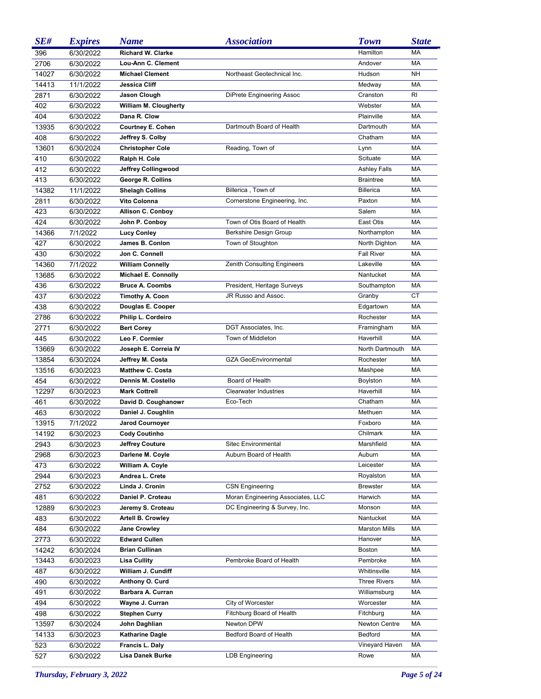| SE#   | <b>Expires</b> | <b>Name</b>                | <i><b>Association</b></i>          | <b>Town</b>          | <b>State</b> |
|-------|----------------|----------------------------|------------------------------------|----------------------|--------------|
| 396   | 6/30/2022      | Richard W. Clarke          |                                    | Hamilton             | <b>MA</b>    |
| 2706  | 6/30/2022      | Lou-Ann C. Clement         |                                    | Andover              | <b>MA</b>    |
| 14027 | 6/30/2022      | <b>Michael Clement</b>     | Northeast Geotechnical Inc.        | Hudson               | <b>NH</b>    |
| 14413 | 11/1/2022      | Jessica Cliff              |                                    | Medway               | <b>MA</b>    |
| 2871  | 6/30/2022      | Jason Clough               | DiPrete Engineering Assoc          | Cranston             | RI.          |
| 402   | 6/30/2022      | William M. Clougherty      |                                    | Webster              | <b>MA</b>    |
| 404   | 6/30/2022      | Dana R. Clow               |                                    | Plainville           | <b>MA</b>    |
| 13935 | 6/30/2022      | <b>Courtney E. Cohen</b>   | Dartmouth Board of Health          | Dartmouth            | <b>MA</b>    |
| 408   | 6/30/2022      | Jeffrey S. Colby           |                                    | Chatham              | <b>MA</b>    |
| 13601 | 6/30/2024      | <b>Christopher Cole</b>    | Reading, Town of                   | Lynn                 | <b>MA</b>    |
| 410   | 6/30/2022      | Ralph H. Cole              |                                    | Scituate             | <b>MA</b>    |
| 412   | 6/30/2022      | Jeffrey Collingwood        |                                    | <b>Ashley Falls</b>  | MA           |
| 413   | 6/30/2022      | George R. Collins          |                                    | <b>Braintree</b>     | MA           |
| 14382 | 11/1/2022      | <b>Shelagh Collins</b>     | Billerica, Town of                 | <b>Billerica</b>     | MA           |
| 2811  | 6/30/2022      | Vito Colonna               | Cornerstone Engineering, Inc.      | Paxton               | MA           |
| 423   | 6/30/2022      | <b>Allison C. Conboy</b>   |                                    | Salem                | MA           |
| 424   | 6/30/2022      | John P. Conboy             | Town of Otis Board of Health       | East Otis            | МA           |
| 14366 | 7/1/2022       | <b>Lucy Conley</b>         | Berkshire Design Group             | Northampton          | MA           |
| 427   | 6/30/2022      | James B. Conlon            | Town of Stoughton                  | North Dighton        | MA           |
| 430   | 6/30/2022      | Jon C. Connell             |                                    | <b>Fall River</b>    | MA           |
| 14360 | 7/1/2022       | <b>William Connelly</b>    | <b>Zenith Consulting Engineers</b> | Lakeville            | MA           |
| 13685 | 6/30/2022      | <b>Michael E. Connolly</b> |                                    | Nantucket            | <b>MA</b>    |
| 436   | 6/30/2022      | <b>Bruce A. Coombs</b>     | President, Heritage Surveys        | Southampton          | MA           |
| 437   | 6/30/2022      | <b>Timothy A. Coon</b>     | JR Russo and Assoc.                | Granby               | СT           |
| 438   | 6/30/2022      | Douglas E. Cooper          |                                    | Edgartown            | MA           |
| 2786  | 6/30/2022      | Philip L. Cordeiro         |                                    | Rochester            | MA           |
| 2771  | 6/30/2022      | <b>Bert Corey</b>          | DGT Associates, Inc.               | Framingham           | MA           |
| 445   | 6/30/2022      | Leo F. Cormier             | Town of Middleton                  | Haverhill            | <b>MA</b>    |
| 13669 | 6/30/2022      | Joseph E. Correia IV       |                                    | North Dartmouth      | MA           |
| 13854 | 6/30/2024      | Jeffrey M. Costa           | <b>GZA GeoEnvironmental</b>        | Rochester            | MA           |
| 13516 | 6/30/2023      | <b>Matthew C. Costa</b>    |                                    | Mashpee              | MA           |
| 454   | 6/30/2022      | Dennis M. Costello         | Board of Health                    | Boylston             | MA           |
| 12297 | 6/30/2023      | <b>Mark Cottrell</b>       | <b>Clearwater Industries</b>       | Haverhill            | МA           |
| 461   | 6/30/2022      | David D. Coughanowr        | Eco-Tech                           | Chatham              | <b>MA</b>    |
| 463   | 6/30/2022      | Daniel J. Coughlin         |                                    | Methuen              | MA           |
| 13915 | 7/1/2022       | <b>Jarod Cournoyer</b>     |                                    | Foxboro              | <b>MA</b>    |
| 14192 | 6/30/2023      | <b>Cody Coutinho</b>       |                                    | Chilmark             | МA           |
| 2943  | 6/30/2023      | Jeffrey Couture            | Sitec Environmental                | Marshfield           | МA           |
| 2968  | 6/30/2023      | Darlene M. Coyle           | Auburn Board of Health             | Auburn               | МA           |
| 473   | 6/30/2022      | William A. Coyle           |                                    | Leicester            | МA           |
| 2944  | 6/30/2023      | Andrea L. Crete            |                                    | Royalston            | МA           |
| 2752  | 6/30/2022      | Linda J. Cronin            | <b>CSN Engineering</b>             | <b>Brewster</b>      | МA           |
| 481   | 6/30/2022      | Daniel P. Croteau          | Moran Engineering Associates, LLC  | Harwich              | МA           |
| 12889 | 6/30/2023      | Jeremy S. Croteau          | DC Engineering & Survey, Inc.      | Monson               | МA           |
| 483   | 6/30/2022      | <b>Artell B. Crowley</b>   |                                    | Nantucket            | МA           |
| 484   | 6/30/2022      | <b>Jane Crowley</b>        |                                    | <b>Marston Mills</b> | МA           |
| 2773  | 6/30/2022      | <b>Edward Cullen</b>       |                                    | Hanover              | МA           |
| 14242 | 6/30/2024      | <b>Brian Cullinan</b>      |                                    | Boston               | МA           |
| 13443 | 6/30/2023      | <b>Lisa Cullity</b>        | Pembroke Board of Health           | Pembroke             | МA           |
| 487   | 6/30/2022      | William J. Cundiff         |                                    | Whitinsville         | МA           |
| 490   | 6/30/2022      | Anthony O. Curd            |                                    | <b>Three Rivers</b>  | МA           |
| 491   | 6/30/2022      | Barbara A. Curran          |                                    | Williamsburg         | МA           |
| 494   | 6/30/2022      | Wayne J. Curran            | City of Worcester                  | Worcester            | МA           |
| 498   | 6/30/2022      | <b>Stephen Curry</b>       | Fitchburg Board of Health          | Fitchburg            | МA           |
| 13597 | 6/30/2024      | John Daghlian              | Newton DPW                         | Newton Centre        | МA           |
| 14133 | 6/30/2023      | Katharine Dagle            | Bedford Board of Health            | Bedford              | МA           |
| 523   | 6/30/2022      | Francis L. Daly            |                                    | Vineyard Haven       | МA           |
| 527   | 6/30/2022      | Lisa Danek Burke           | LDB Engineering                    | Rowe                 | MA           |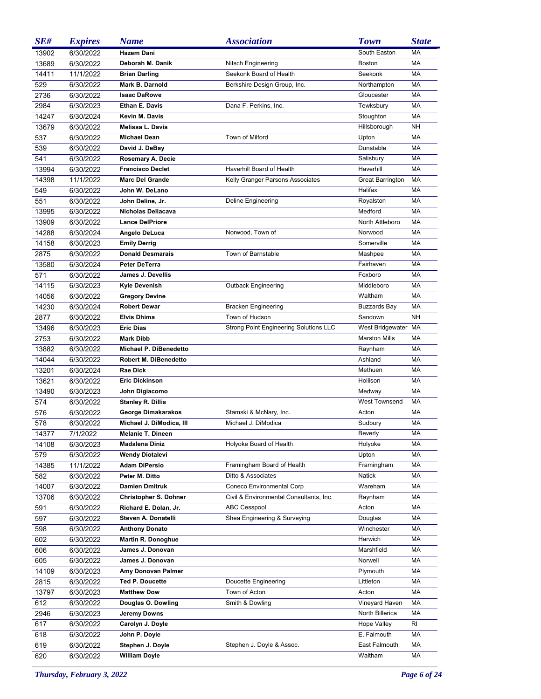| SE#   | <b>Expires</b> | <b>Name</b>                  | <b>Association</b>                      | <b>Town</b>             | <b>State</b> |
|-------|----------------|------------------------------|-----------------------------------------|-------------------------|--------------|
| 13902 | 6/30/2022      | Hazem Dani                   |                                         | South Easton            | <b>MA</b>    |
| 13689 | 6/30/2022      | Deborah M. Danik             | Nitsch Engineering                      | <b>Boston</b>           | <b>MA</b>    |
| 14411 | 11/1/2022      | <b>Brian Darling</b>         | Seekonk Board of Health                 | Seekonk                 | <b>MA</b>    |
| 529   | 6/30/2022      | Mark B. Darnold              | Berkshire Design Group, Inc.            | Northampton             | MA           |
| 2736  | 6/30/2022      | <b>Isaac DaRowe</b>          |                                         | Gloucester              | <b>MA</b>    |
| 2984  | 6/30/2023      | Ethan E. Davis               | Dana F. Perkins, Inc.                   | Tewksbury               | MA           |
| 14247 | 6/30/2024      | Kevin M. Davis               |                                         | Stoughton               | MA           |
| 13679 | 6/30/2022      | <b>Melissa L. Davis</b>      |                                         | Hillsborough            | <b>NH</b>    |
| 537   | 6/30/2022      | <b>Michael Dean</b>          | Town of Milford                         | Upton                   | <b>MA</b>    |
| 539   | 6/30/2022      | David J. DeBay               |                                         | Dunstable               | <b>MA</b>    |
| 541   | 6/30/2022      | Rosemary A. Decie            |                                         | Salisbury               | MA           |
| 13994 | 6/30/2022      | <b>Francisco Declet</b>      | Haverhill Board of Health               | Haverhill               | <b>MA</b>    |
| 14398 | 11/1/2022      | <b>Marc Del Grande</b>       | Kelly Granger Parsons Associates        | <b>Great Barrington</b> | <b>MA</b>    |
| 549   | 6/30/2022      | John W. DeLano               |                                         | Halifax                 | <b>MA</b>    |
| 551   | 6/30/2022      | John Deline, Jr.             | Deline Engineering                      | Royalston               | MA           |
| 13995 | 6/30/2022      | Nicholas Dellacava           |                                         | Medford                 | <b>MA</b>    |
| 13909 | 6/30/2022      | <b>Lance DelPriore</b>       |                                         | North Attleboro         | <b>MA</b>    |
| 14288 | 6/30/2024      | Angelo DeLuca                | Norwood, Town of                        | Norwood                 | <b>MA</b>    |
| 14158 | 6/30/2023      | <b>Emily Derrig</b>          |                                         | Somerville              | <b>MA</b>    |
| 2875  | 6/30/2022      | <b>Donald Desmarais</b>      | Town of Barnstable                      | Mashpee                 | <b>MA</b>    |
| 13580 | 6/30/2024      | <b>Peter DeTerra</b>         |                                         | Fairhaven               | <b>MA</b>    |
| 571   | 6/30/2022      | James J. Devellis            |                                         | Foxboro                 | <b>MA</b>    |
| 14115 | 6/30/2023      | Kyle Devenish                | <b>Outback Engineering</b>              | Middleboro              | <b>MA</b>    |
| 14056 | 6/30/2022      | <b>Gregory Devine</b>        |                                         | Waltham                 | <b>MA</b>    |
| 14230 | 6/30/2024      | <b>Robert Dewar</b>          | <b>Bracken Engineering</b>              | <b>Buzzards Bay</b>     | <b>MA</b>    |
| 2877  | 6/30/2022      | <b>Elvis Dhima</b>           | Town of Hudson                          | Sandown                 | <b>NH</b>    |
| 13496 | 6/30/2023      | <b>Eric Dias</b>             | Strong Point Engineering Solutions LLC  | West Bridgewater MA     |              |
| 2753  | 6/30/2022      | <b>Mark Dibb</b>             |                                         | <b>Marston Mills</b>    | <b>MA</b>    |
| 13882 | 6/30/2022      | Michael P. DiBenedetto       |                                         | Raynham                 | <b>MA</b>    |
| 14044 | 6/30/2022      | <b>Robert M. DiBenedetto</b> |                                         | Ashland                 | <b>MA</b>    |
| 13201 | 6/30/2024      | <b>Rae Dick</b>              |                                         | Methuen                 | <b>MA</b>    |
| 13621 | 6/30/2022      | <b>Eric Dickinson</b>        |                                         | Hollison                | <b>MA</b>    |
| 13490 | 6/30/2023      | John Digiacomo               |                                         | Medway                  | MA           |
| 574   | 6/30/2022      | <b>Stanley R. Dillis</b>     |                                         | <b>West Townsend</b>    | <b>MA</b>    |
| 576   | 6/30/2022      | George Dimakarakos           | Stamski & McNary, Inc.                  | Acton                   | MA           |
| 578   | 6/30/2022      | Michael J. DiModica, III     | Michael J. DiModica                     | Sudbury                 | MA           |
| 14377 | 7/1/2022       | Melanie T. Dineen            |                                         | Beverly                 | МA           |
| 14108 | 6/30/2023      | <b>Madalena Diniz</b>        | Holyoke Board of Health                 | Holyoke                 | МA           |
| 579   | 6/30/2022      | Wendy Diotalevi              |                                         | Upton                   | МA           |
| 14385 | 11/1/2022      | Adam DiPersio                | Framingham Board of Health              | Framingham              | МA           |
| 582   | 6/30/2022      | Peter M. Ditto               | Ditto & Associates                      | <b>Natick</b>           | МA           |
| 14007 | 6/30/2022      | <b>Damien Dmitruk</b>        | Coneco Environmental Corp               | Wareham                 | МA           |
| 13706 | 6/30/2022      | <b>Christopher S. Dohner</b> | Civil & Environmental Consultants, Inc. | Raynham                 | МA           |
| 591   | 6/30/2022      | Richard E. Dolan, Jr.        | <b>ABC Cesspool</b>                     | Acton                   | МA           |
| 597   | 6/30/2022      | Steven A. Donatelli          | Shea Engineering & Surveying            | Douglas                 | МA           |
| 598   | 6/30/2022      | <b>Anthony Donato</b>        |                                         | Winchester              | МA           |
| 602   | 6/30/2022      | <b>Martin R. Donoghue</b>    |                                         | Harwich                 | МA           |
| 606   | 6/30/2022      | James J. Donovan             |                                         | Marshfield              | МA           |
| 605   | 6/30/2022      | James J. Donovan             |                                         | Norwell                 | МA           |
| 14109 | 6/30/2023      | Amy Donovan Palmer           |                                         | Plymouth                | МA           |
| 2815  | 6/30/2022      | <b>Ted P. Doucette</b>       | Doucette Engineering                    | Littleton               | МA           |
| 13797 | 6/30/2023      | <b>Matthew Dow</b>           | Town of Acton                           | Acton                   | MA           |
| 612   | 6/30/2022      | Douglas O. Dowling           | Smith & Dowling                         | Vineyard Haven          | МA           |
| 2946  | 6/30/2023      | Jeremy Downs                 |                                         | North Billerica         | МA           |
| 617   | 6/30/2022      | Carolyn J. Doyle             |                                         | <b>Hope Valley</b>      | RI           |
| 618   | 6/30/2022      | John P. Doyle                |                                         | E. Falmouth             | МA           |
| 619   | 6/30/2022      | Stephen J. Doyle             | Stephen J. Doyle & Assoc.               | East Falmouth           | МA           |
| 620   | 6/30/2022      | <b>William Doyle</b>         |                                         | Waltham                 | МA           |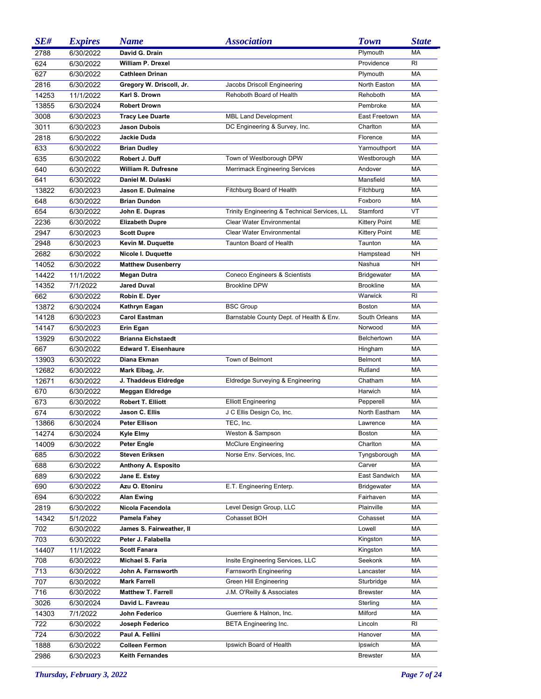| SE#   | <b>Expires</b>        | <b>Name</b>                 | <i><b>Association</b></i>                    | <b>Town</b>          | <b>State</b> |
|-------|-----------------------|-----------------------------|----------------------------------------------|----------------------|--------------|
| 2788  | 6/30/2022             | David G. Drain              |                                              | Plymouth             | <b>MA</b>    |
| 624   | 6/30/2022             | William P. Drexel           |                                              | Providence           | RI           |
| 627   | 6/30/2022             | <b>Cathleen Drinan</b>      |                                              | Plymouth             | <b>MA</b>    |
| 2816  | 6/30/2022             | Gregory W. Driscoll, Jr.    | Jacobs Driscoll Engineering                  | North Easton         | <b>MA</b>    |
| 14253 | 11/1/2022             | Karl S. Drown               | Rehoboth Board of Health                     | Rehoboth             | <b>MA</b>    |
| 13855 | 6/30/2024             | <b>Robert Drown</b>         |                                              | Pembroke             | <b>MA</b>    |
| 3008  | 6/30/2023             | <b>Tracy Lee Duarte</b>     | MBL Land Development                         | East Freetown        | MA           |
| 3011  | 6/30/2023             | <b>Jason Dubois</b>         | DC Engineering & Survey, Inc.                | Charlton             | MA           |
| 2818  | 6/30/2022             | Jackie Duda                 |                                              | Florence             | <b>MA</b>    |
| 633   | 6/30/2022             | <b>Brian Dudley</b>         |                                              | Yarmouthport         | <b>MA</b>    |
| 635   | 6/30/2022             | Robert J. Duff              | Town of Westborough DPW                      | Westborough          | <b>MA</b>    |
| 640   | 6/30/2022             | William R. Dufresne         | Merrimack Engineering Services               | Andover              | <b>MA</b>    |
| 641   | 6/30/2022             | Daniel M. Dulaski           |                                              | Mansfield            | <b>MA</b>    |
| 13822 | 6/30/2023             | Jason E. Dulmaine           | Fitchburg Board of Health                    | Fitchburg            | <b>MA</b>    |
|       |                       | <b>Brian Dundon</b>         |                                              | Foxboro              | <b>MA</b>    |
| 648   | 6/30/2022             |                             | Trinity Engineering & Technical Services, LL | Stamford             | VT           |
| 654   | 6/30/2022             | John E. Dupras              |                                              |                      |              |
| 2236  | 6/30/2022             | <b>Elizabeth Dupre</b>      | <b>Clear Water Environmental</b>             | <b>Kittery Point</b> | <b>ME</b>    |
| 2947  | 6/30/2023             | <b>Scott Dupre</b>          | Clear Water Environmental                    | <b>Kittery Point</b> | <b>ME</b>    |
| 2948  | 6/30/2023             | Kevin M. Duquette           | Taunton Board of Health                      | Taunton              | MA           |
| 2682  | 6/30/2022             | Nicole I. Duquette          |                                              | Hampstead            | <b>NH</b>    |
| 14052 | 6/30/2022             | <b>Matthew Dusenberry</b>   |                                              | Nashua               | <b>NH</b>    |
| 14422 | 11/1/2022             | Megan Dutra                 | Coneco Engineers & Scientists                | <b>Bridgewater</b>   | MA           |
| 14352 | 7/1/2022              | <b>Jared Duval</b>          | <b>Brookline DPW</b>                         | <b>Brookline</b>     | MA           |
| 662   | 6/30/2022             | Robin E. Dyer               |                                              | Warwick              | RI.          |
| 13872 | 6/30/2024             | Kathryn Eagan               | <b>BSC Group</b>                             | <b>Boston</b>        | <b>MA</b>    |
| 14128 | 6/30/2023             | <b>Carol Eastman</b>        | Barnstable County Dept. of Health & Env.     | South Orleans        | <b>MA</b>    |
| 14147 | 6/30/2023             | Erin Egan                   |                                              | Norwood              | <b>MA</b>    |
| 13929 | 6/30/2022             | <b>Brianna Eichstaedt</b>   |                                              | <b>Belchertown</b>   | <b>MA</b>    |
| 667   | 6/30/2022             | <b>Edward T. Eisenhaure</b> |                                              | Hingham              | <b>MA</b>    |
| 13903 | 6/30/2022             | Diana Ekman                 | Town of Belmont                              | <b>Belmont</b>       | <b>MA</b>    |
| 12682 | 6/30/2022             | Mark Elbag, Jr.             |                                              | Rutland              | <b>MA</b>    |
| 12671 | 6/30/2022             | J. Thaddeus Eldredge        | Eldredge Surveying & Engineering             | Chatham              | <b>MA</b>    |
| 670   | 6/30/2022             | Meggan Eldredge             |                                              | Harwich              | MA           |
| 673   | 6/30/2022             | <b>Robert T. Elliott</b>    | <b>Elliott Engineering</b>                   | Pepperell            | MA           |
| 674   | 6/30/2022             | Jason C. Ellis              | J C Ellis Design Co, Inc.                    | North Eastham        | MA           |
| 13866 | 6/30/2024             | <b>Peter Ellison</b>        | TEC, Inc.                                    | Lawrence             | MA           |
| 14274 | 6/30/2024             | <b>Kyle Elmy</b>            | Weston & Sampson                             | Boston               | МA           |
| 14009 | 6/30/2022             | Peter Engle                 | <b>McClure Engineering</b>                   | Charlton             | МA           |
| 685   | 6/30/2022             | <b>Steven Eriksen</b>       | Norse Env. Services, Inc.                    | Tyngsborough         | МA           |
| 688   | 6/30/2022             | Anthony A. Esposito         |                                              | Carver               | МA           |
| 689   | 6/30/2022             | Jane E. Estey               |                                              | East Sandwich        | МA           |
| 690   | 6/30/2022             | Azu O. Etoniru              | E.T. Engineering Enterp.                     | <b>Bridgewater</b>   | МA           |
| 694   | 6/30/2022             | <b>Alan Ewing</b>           |                                              | Fairhaven            | МA           |
| 2819  |                       | Nicola Facendola            | Level Design Group, LLC                      | Plainville           | МA           |
| 14342 | 6/30/2022<br>5/1/2022 | Pamela Fahey                | Cohasset BOH                                 | Cohasset             | МA           |
|       |                       | James S. Fairweather, II    |                                              | Lowell               | МA           |
| 702   | 6/30/2022             | Peter J. Falabella          |                                              |                      | МA           |
| 703   | 6/30/2022             |                             |                                              | Kingston             |              |
| 14407 | 11/1/2022             | <b>Scott Fanara</b>         |                                              | Kingston             | МA           |
| 708   | 6/30/2022             | Michael S. Faria            | Insite Engineering Services, LLC             | Seekonk              | МA           |
| 713   | 6/30/2022             | John A. Farnsworth          | Farnsworth Engineering                       | Lancaster            | МA           |
| 707   | 6/30/2022             | <b>Mark Farrell</b>         | Green Hill Engineering                       | Sturbridge           | МA           |
| 716   | 6/30/2022             | <b>Matthew T. Farrell</b>   | J.M. O'Reilly & Associates                   | <b>Brewster</b>      | МA           |
| 3026  | 6/30/2024             | David L. Favreau            |                                              | Sterling             | МA           |
| 14303 | 7/1/2022              | John Federico               | Guerriere & Halnon, Inc.                     | Milford              | МA           |
| 722   | 6/30/2022             | Joseph Federico             | <b>BETA Engineering Inc.</b>                 | Lincoln              | RI           |
| 724   | 6/30/2022             | Paul A. Fellini             |                                              | Hanover              | МA           |
| 1888  | 6/30/2022             | <b>Colleen Fermon</b>       | Ipswich Board of Health                      | Ipswich              | МA           |
| 2986  | 6/30/2023             | <b>Keith Fernandes</b>      |                                              | <b>Brewster</b>      | MA           |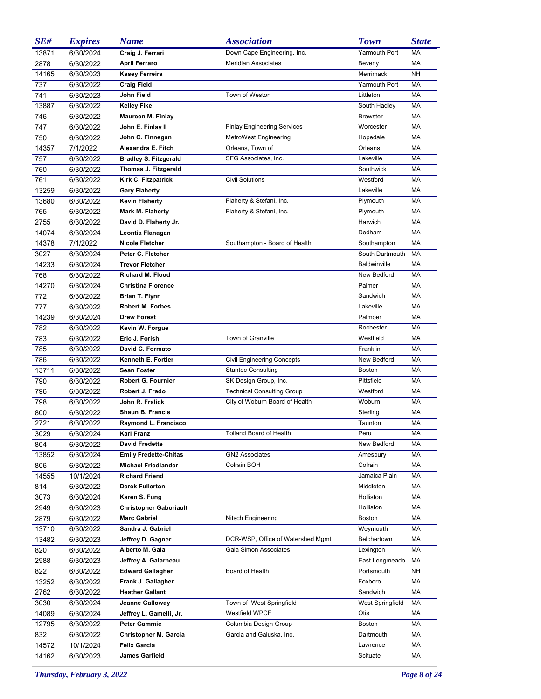| SE#   | <b>Expires</b> | <b>Name</b>                   | <i><b>Association</b></i>          | <b>Town</b>         | <b>State</b> |
|-------|----------------|-------------------------------|------------------------------------|---------------------|--------------|
| 13871 | 6/30/2024      | Craig J. Ferrari              | Down Cape Engineering, Inc.        | Yarmouth Port       | MA           |
| 2878  | 6/30/2022      | <b>April Ferraro</b>          | <b>Meridian Associates</b>         | Beverly             | <b>MA</b>    |
| 14165 | 6/30/2023      | <b>Kasey Ferreira</b>         |                                    | Merrimack           | <b>NH</b>    |
| 737   | 6/30/2022      | <b>Craig Field</b>            |                                    | Yarmouth Port       | <b>MA</b>    |
| 741   | 6/30/2023      | John Field                    | Town of Weston                     | Littleton           | <b>MA</b>    |
| 13887 | 6/30/2022      | <b>Kelley Fike</b>            |                                    | South Hadley        | MA           |
| 746   | 6/30/2022      | <b>Maureen M. Finlay</b>      |                                    | <b>Brewster</b>     | <b>MA</b>    |
| 747   | 6/30/2022      | John E. Finlay II             | <b>Finlay Engineering Services</b> | Worcester           | <b>MA</b>    |
| 750   | 6/30/2022      | John C. Finnegan              | MetroWest Engineering              | Hopedale            | <b>MA</b>    |
| 14357 | 7/1/2022       | Alexandra E. Fitch            | Orleans, Town of                   | Orleans             | <b>MA</b>    |
| 757   | 6/30/2022      | <b>Bradley S. Fitzgerald</b>  | SFG Associates, Inc.               | Lakeville           | <b>MA</b>    |
| 760   | 6/30/2022      | Thomas J. Fitzgerald          |                                    | Southwick           | MA           |
| 761   | 6/30/2022      | Kirk C. Fitzpatrick           | <b>Civil Solutions</b>             | Westford            | MA           |
| 13259 | 6/30/2022      | <b>Gary Flaherty</b>          |                                    | Lakeville           | MA           |
| 13680 | 6/30/2022      | <b>Kevin Flaherty</b>         | Flaherty & Stefani, Inc.           | Plymouth            | MA           |
| 765   | 6/30/2022      | Mark M. Flaherty              | Flaherty & Stefani, Inc.           | Plymouth            | MA           |
| 2755  | 6/30/2022      | David D. Flaherty Jr.         |                                    | Harwich             | MA           |
| 14074 | 6/30/2024      | Leontia Flanagan              |                                    | Dedham              | MA           |
| 14378 | 7/1/2022       | <b>Nicole Fletcher</b>        | Southampton - Board of Health      | Southampton         | MA           |
| 3027  | 6/30/2024      | Peter C. Fletcher             |                                    | South Dartmouth     | MA           |
| 14233 | 6/30/2024      | <b>Trevor Fletcher</b>        |                                    | <b>Baldwinville</b> | MA           |
| 768   | 6/30/2022      | <b>Richard M. Flood</b>       |                                    | New Bedford         | MA           |
| 14270 | 6/30/2024      | <b>Christina Florence</b>     |                                    | Palmer              | MA           |
| 772   | 6/30/2022      | <b>Brian T. Flynn</b>         |                                    | Sandwich            | MA           |
| 777   | 6/30/2022      | <b>Robert M. Forbes</b>       |                                    | Lakeville           | MA           |
| 14239 | 6/30/2024      | <b>Drew Forest</b>            |                                    | Palmoer             | MA           |
| 782   | 6/30/2022      | Kevin W. Forgue               |                                    | Rochester           | MA           |
| 783   | 6/30/2022      | Eric J. Forish                | Town of Granville                  | Westfield           | MA           |
| 785   | 6/30/2022      | David C. Formato              |                                    | Franklin            | MA           |
| 786   | 6/30/2022      | Kenneth E. Fortier            | <b>Civil Engineering Concepts</b>  | New Bedford         | MA           |
| 13711 | 6/30/2022      | <b>Sean Foster</b>            | <b>Stantec Consulting</b>          | <b>Boston</b>       | MA           |
| 790   | 6/30/2022      | Robert G. Fournier            | SK Design Group, Inc.              | Pittsfield          | MA           |
| 796   | 6/30/2022      | Robert J. Frado               | <b>Technical Consulting Group</b>  | Westford            | MA           |
| 798   | 6/30/2022      | John R. Fralick               | City of Woburn Board of Health     | Woburn              | MA           |
| 800   | 6/30/2022      | <b>Shaun B. Francis</b>       |                                    | Sterling            | MA           |
| 2721  | 6/30/2022      | Raymond L. Francisco          |                                    | Taunton             | MA           |
| 3029  | 6/30/2024      | Karl Franz                    | Tolland Board of Health            | Peru                | МA           |
| 804   | 6/30/2022      | <b>David Fredette</b>         |                                    | New Bedford         | МA           |
| 13852 | 6/30/2024      | <b>Emily Fredette-Chitas</b>  | <b>GN2 Associates</b>              | Amesbury            | МA           |
| 806   | 6/30/2022      | <b>Michael Friedlander</b>    | Colrain BOH                        | Colrain             | МA           |
| 14555 | 10/1/2024      | <b>Richard Friend</b>         |                                    | Jamaica Plain       | МA           |
| 814   | 6/30/2022      | <b>Derek Fullerton</b>        |                                    | Middleton           | МA           |
| 3073  | 6/30/2024      | Karen S. Fung                 |                                    | Holliston           | МA           |
| 2949  | 6/30/2023      | <b>Christopher Gaboriault</b> |                                    | Holliston           | МA           |
| 2879  | 6/30/2022      | <b>Marc Gabriel</b>           | Nitsch Engineering                 | Boston              | МA           |
| 13710 | 6/30/2022      | Sandra J. Gabriel             |                                    | Weymouth            | МA           |
| 13482 | 6/30/2023      | Jeffrey D. Gagner             | DCR-WSP, Office of Watershed Mgmt  | Belchertown         | МA           |
| 820   | 6/30/2022      | Alberto M. Gala               | Gala Simon Associates              | Lexington           | МA           |
| 2988  | 6/30/2023      | Jeffrey A. Galarneau          |                                    | East Longmeado      | МA           |
| 822   | 6/30/2022      | <b>Edward Gallagher</b>       | Board of Health                    | Portsmouth          | NΗ           |
| 13252 | 6/30/2022      | Frank J. Gallagher            |                                    | Foxboro             | МA           |
| 2762  | 6/30/2022      | <b>Heather Gallant</b>        |                                    | Sandwich            | МA           |
| 3030  | 6/30/2024      | Jeanne Galloway               | Town of West Springfield           | West Springfield    | МA           |
| 14089 | 6/30/2024      | Jeffrey L. Gamelli, Jr.       | Westfield WPCF                     | Otis                | МA           |
| 12795 | 6/30/2022      | <b>Peter Gammie</b>           | Columbia Design Group              | Boston              | МA           |
| 832   | 6/30/2022      | Christopher M. Garcia         | Garcia and Galuska, Inc.           | Dartmouth           | МA           |
| 14572 | 10/1/2024      | <b>Felix Garcia</b>           |                                    | Lawrence            | МA           |
| 14162 | 6/30/2023      | James Garfield                |                                    | Scituate            | МA           |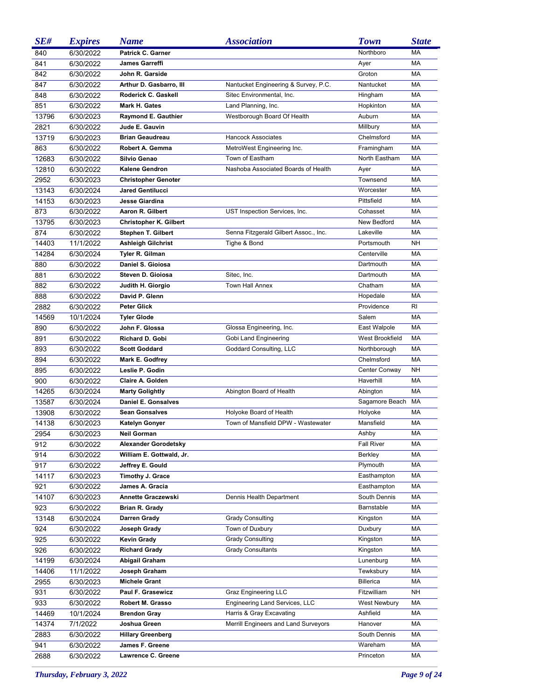| SE#   | <b>Expires</b> | <b>Name</b>                   | <i><b>Association</b></i>             | <b>Town</b>         | <b>State</b> |
|-------|----------------|-------------------------------|---------------------------------------|---------------------|--------------|
| 840   | 6/30/2022      | <b>Patrick C. Garner</b>      |                                       | Northboro           | MA           |
| 841   | 6/30/2022      | <b>James Garreffi</b>         |                                       | Ayer                | MA           |
| 842   | 6/30/2022      | John R. Garside               |                                       | Groton              | <b>MA</b>    |
| 847   | 6/30/2022      | Arthur D. Gasbarro, III       | Nantucket Engineering & Survey, P.C.  | Nantucket           | MA           |
| 848   | 6/30/2022      | Roderick C. Gaskell           | Sitec Environmental, Inc.             | Hingham             | <b>MA</b>    |
| 851   | 6/30/2022      | Mark H. Gates                 | Land Planning, Inc.                   | Hopkinton           | MA           |
| 13796 | 6/30/2023      | <b>Raymond E. Gauthier</b>    | Westborough Board Of Health           | Auburn              | MA           |
| 2821  | 6/30/2022      | Jude E. Gauvin                |                                       | Millbury            | MA           |
| 13719 | 6/30/2023      | <b>Brian Geaudreau</b>        | <b>Hancock Associates</b>             | Chelmsford          | <b>MA</b>    |
| 863   | 6/30/2022      | Robert A. Gemma               | MetroWest Engineering Inc.            | Framingham          | <b>MA</b>    |
| 12683 | 6/30/2022      | Silvio Genao                  | Town of Eastham                       | North Eastham       | <b>MA</b>    |
| 12810 | 6/30/2022      | Kalene Gendron                | Nashoba Associated Boards of Health   | Ayer                | <b>MA</b>    |
| 2952  | 6/30/2023      | <b>Christopher Genoter</b>    |                                       | Townsend            | MA           |
| 13143 | 6/30/2024      | <b>Jared Gentilucci</b>       |                                       | Worcester           | <b>MA</b>    |
| 14153 | 6/30/2023      | <b>Jesse Giardina</b>         |                                       | Pittsfield          | <b>MA</b>    |
| 873   | 6/30/2022      | Aaron R. Gilbert              | UST Inspection Services, Inc.         | Cohasset            | <b>MA</b>    |
| 13795 | 6/30/2023      | <b>Christopher K. Gilbert</b> |                                       | New Bedford         | <b>MA</b>    |
| 874   | 6/30/2022      | <b>Stephen T. Gilbert</b>     | Senna Fitzgerald Gilbert Assoc., Inc. | Lakeville           | MA           |
| 14403 | 11/1/2022      | <b>Ashleigh Gilchrist</b>     | Tighe & Bond                          | Portsmouth          | <b>NH</b>    |
| 14284 | 6/30/2024      | Tyler R. Gilman               |                                       | Centerville         | <b>MA</b>    |
| 880   | 6/30/2022      | Daniel S. Gioiosa             |                                       | Dartmouth           | <b>MA</b>    |
| 881   | 6/30/2022      | Steven D. Gioiosa             | Sitec, Inc.                           | Dartmouth           | <b>MA</b>    |
| 882   | 6/30/2022      | Judith H. Giorgio             | <b>Town Hall Annex</b>                | Chatham             | <b>MA</b>    |
| 888   | 6/30/2022      | David P. Glenn                |                                       | Hopedale            | <b>MA</b>    |
| 2882  | 6/30/2022      | <b>Peter Glick</b>            |                                       | Providence          | RI           |
| 14569 | 10/1/2024      | <b>Tyler Glode</b>            |                                       | Salem               | <b>MA</b>    |
| 890   | 6/30/2022      | John F. Glossa                | Glossa Engineering, Inc.              | East Walpole        | <b>MA</b>    |
| 891   | 6/30/2022      | <b>Richard D. Gobi</b>        | Gobi Land Engineering                 | West Brookfield     | <b>MA</b>    |
| 893   | 6/30/2022      | <b>Scott Goddard</b>          | Goddard Consulting, LLC               | Northborough        | <b>MA</b>    |
| 894   | 6/30/2022      | Mark E. Godfrey               |                                       | Chelmsford          | <b>MA</b>    |
| 895   | 6/30/2022      | Leslie P. Godin               |                                       | Center Conway       | <b>NH</b>    |
| 900   | 6/30/2022      | Claire A. Golden              |                                       | Haverhill           | <b>MA</b>    |
| 14265 | 6/30/2024      | <b>Marty Golightly</b>        | Abington Board of Health              | Abington            | <b>MA</b>    |
| 13587 | 6/30/2024      | <b>Daniel E. Gonsalves</b>    |                                       | Sagamore Beach      | MA           |
| 13908 | 6/30/2022      | <b>Sean Gonsalves</b>         | Holyoke Board of Health               | Holyoke             | <b>MA</b>    |
| 14138 | 6/30/2023      | Katelyn Gonyer                | Town of Mansfield DPW - Wastewater    | Mansfield           | MA           |
| 2954  | 6/30/2023      | Neil Gorman                   |                                       | Ashby               | MA           |
| 912   | 6/30/2022      | <b>Alexander Gorodetsky</b>   |                                       | <b>Fall River</b>   | MA           |
| 914   | 6/30/2022      | William E. Gottwald, Jr.      |                                       | <b>Berkley</b>      | MA           |
| 917   | 6/30/2022      | Jeffrey E. Gould              |                                       | Plymouth            | MA           |
| 14117 | 6/30/2023      | Timothy J. Grace              |                                       | Easthampton         | MA           |
| 921   | 6/30/2022      | James A. Gracia               |                                       | Easthampton         | MA           |
| 14107 | 6/30/2023      | <b>Annette Graczewski</b>     | Dennis Health Department              | South Dennis        | MA           |
| 923   | 6/30/2022      | Brian R. Grady                |                                       | Barnstable          | МA           |
| 13148 | 6/30/2024      | Darren Grady                  | <b>Grady Consulting</b>               | Kingston            | МA           |
| 924   | 6/30/2022      | Joseph Grady                  | Town of Duxbury                       | Duxbury             | MA           |
| 925   | 6/30/2022      | <b>Kevin Grady</b>            | <b>Grady Consulting</b>               | Kingston            | MA           |
| 926   | 6/30/2022      | <b>Richard Grady</b>          | <b>Grady Consultants</b>              | Kingston            | MA           |
| 14199 | 6/30/2024      | Abigail Graham                |                                       | Lunenburg           | МA           |
| 14406 | 11/1/2022      | Joseph Graham                 |                                       | Tewksbury           | МA           |
| 2955  | 6/30/2023      | <b>Michele Grant</b>          |                                       | <b>Billerica</b>    | МA           |
| 931   | 6/30/2022      | Paul F. Grasewicz             | Graz Engineering LLC                  | Fitzwilliam         | NΗ           |
| 933   | 6/30/2022      | Robert M. Grasso              | Engineering Land Services, LLC        | <b>West Newbury</b> | МA           |
| 14469 | 10/1/2024      | <b>Brendon Gray</b>           | Harris & Gray Excavating              | Ashfield            | МA           |
| 14374 | 7/1/2022       | Joshua Green                  | Merrill Engineers and Land Surveyors  | Hanover             | МA           |
| 2883  | 6/30/2022      | <b>Hillary Greenberg</b>      |                                       | South Dennis        | МA           |
| 941   | 6/30/2022      | James F. Greene               |                                       | Wareham             | MA           |
| 2688  | 6/30/2022      | Lawrence C. Greene            |                                       | Princeton           | MA           |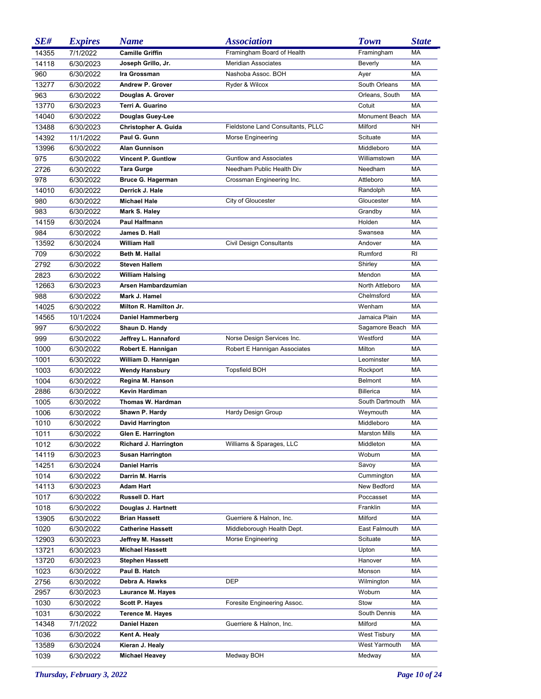| SE#   | <b>Expires</b>         | <b>Name</b>               | <b>Association</b>                | <b>Town</b>          | <b>State</b> |
|-------|------------------------|---------------------------|-----------------------------------|----------------------|--------------|
| 14355 | 7/1/2022               | <b>Camille Griffin</b>    | Framingham Board of Health        | Framingham           | MA           |
| 14118 | 6/30/2023              | Joseph Grillo, Jr.        | <b>Meridian Associates</b>        | Beverly              | <b>MA</b>    |
| 960   | 6/30/2022              | Ira Grossman              | Nashoba Assoc. BOH                | Ayer                 | <b>MA</b>    |
| 13277 | 6/30/2022              | Andrew P. Grover          | Ryder & Wilcox                    | South Orleans        | MA           |
| 963   | 6/30/2022              | Douglas A. Grover         |                                   | Orleans, South       | <b>MA</b>    |
| 13770 | 6/30/2023              | Terri A. Guarino          |                                   | Cotuit               | <b>MA</b>    |
| 14040 | 6/30/2022              | Douglas Guey-Lee          |                                   | Monument Beach       | MA           |
| 13488 | 6/30/2023              | Christopher A. Guida      | Fieldstone Land Consultants, PLLC | Milford              | <b>NH</b>    |
| 14392 | 11/1/2022              | Paul G. Gunn              | Morse Engineering                 | Scituate             | <b>MA</b>    |
| 13996 | 6/30/2022              | <b>Alan Gunnison</b>      |                                   | Middleboro           | <b>MA</b>    |
| 975   | 6/30/2022              | <b>Vincent P. Guntlow</b> | <b>Guntlow and Associates</b>     | Williamstown         | MA           |
| 2726  | 6/30/2022              | <b>Tara Gurge</b>         | Needham Public Health Div         | Needham              | <b>MA</b>    |
| 978   | 6/30/2022              | Bruce G. Hagerman         | Crossman Engineering Inc.         | Attleboro            | <b>MA</b>    |
| 14010 | 6/30/2022              | Derrick J. Hale           |                                   | Randolph             | <b>MA</b>    |
| 980   | 6/30/2022              | <b>Michael Hale</b>       | City of Gloucester                | Gloucester           | <b>MA</b>    |
| 983   | 6/30/2022              | Mark S. Haley             |                                   | Grandby              | <b>MA</b>    |
| 14159 | 6/30/2024              | <b>Paul Halfmann</b>      |                                   | Holden               | <b>MA</b>    |
| 984   | 6/30/2022              | James D. Hall             |                                   | Swansea              | <b>MA</b>    |
| 13592 | 6/30/2024              | <b>William Hall</b>       | Civil Design Consultants          | Andover              | <b>MA</b>    |
| 709   | 6/30/2022              | Beth M. Hallal            |                                   | Rumford              | RI.          |
| 2792  | 6/30/2022              | <b>Steven Hallem</b>      |                                   | Shirley              | <b>MA</b>    |
| 2823  | 6/30/2022              | <b>William Halsing</b>    |                                   | Mendon               | <b>MA</b>    |
| 12663 | 6/30/2023              | Arsen Hambardzumian       |                                   | North Attleboro      | <b>MA</b>    |
| 988   | 6/30/2022              | Mark J. Hamel             |                                   | Chelmsford           | <b>MA</b>    |
| 14025 | 6/30/2022              | Milton R. Hamilton Jr.    |                                   | Wenham               | <b>MA</b>    |
| 14565 | 10/1/2024              | <b>Daniel Hammerberg</b>  |                                   | Jamaica Plain        | <b>MA</b>    |
| 997   | 6/30/2022              | Shaun D. Handy            |                                   | Sagamore Beach       | MA           |
| 999   | 6/30/2022              | Jeffrey L. Hannaford      | Norse Design Services Inc.        | Westford             | <b>MA</b>    |
| 1000  | 6/30/2022              | Robert E. Hannigan        | Robert E Hannigan Associates      | Milton               | <b>MA</b>    |
| 1001  | 6/30/2022              | William D. Hannigan       |                                   | Leominster           | <b>MA</b>    |
| 1003  | 6/30/2022              | <b>Wendy Hansbury</b>     | <b>Topsfield BOH</b>              | Rockport             | <b>MA</b>    |
| 1004  | 6/30/2022              | Regina M. Hanson          |                                   | <b>Belmont</b>       | <b>MA</b>    |
| 2886  | 6/30/2022              | <b>Kevin Hardiman</b>     |                                   | <b>Billerica</b>     | <b>MA</b>    |
| 1005  | 6/30/2022              | Thomas W. Hardman         |                                   | South Dartmouth      | <b>MA</b>    |
| 1006  | 6/30/2022              | Shawn P. Hardy            | <b>Hardy Design Group</b>         | Weymouth             | MA           |
| 1010  | 6/30/2022              | <b>David Harrington</b>   |                                   | Middleboro           | MA           |
| 1011  | 6/30/2022              | Glen E. Harrington        |                                   | <b>Marston Mills</b> | МA           |
| 1012  | 6/30/2022              | Richard J. Harrington     | Williams & Sparages, LLC          | Middleton            | МA           |
| 14119 |                        | <b>Susan Harrington</b>   |                                   | Woburn               | МA           |
| 14251 | 6/30/2023<br>6/30/2024 | <b>Daniel Harris</b>      |                                   | Savoy                | МA           |
| 1014  | 6/30/2022              | Darrin M. Harris          |                                   | Cummington           | МA           |
| 14113 | 6/30/2023              | <b>Adam Hart</b>          |                                   | New Bedford          | МA           |
| 1017  | 6/30/2022              | Russell D. Hart           |                                   | Poccasset            | МA           |
| 1018  | 6/30/2022              | Douglas J. Hartnett       |                                   | Franklin             | МA           |
| 13905 | 6/30/2022              | <b>Brian Hassett</b>      | Guerriere & Halnon, Inc.          | Milford              | МA           |
| 1020  | 6/30/2022              | <b>Catherine Hassett</b>  | Middleborough Health Dept.        | East Falmouth        | МA           |
| 12903 | 6/30/2023              | Jeffrey M. Hassett        | Morse Engineering                 | Scituate             | МA           |
| 13721 |                        | <b>Michael Hassett</b>    |                                   | Upton                | МA           |
| 13720 | 6/30/2023              | <b>Stephen Hassett</b>    |                                   | Hanover              | МA           |
|       | 6/30/2023              | Paul B. Hatch             |                                   | Monson               | МA           |
| 1023  | 6/30/2022              |                           |                                   |                      |              |
| 2756  | 6/30/2022              | Debra A. Hawks            | <b>DEP</b>                        | Wilmington           | МA           |
| 2957  | 6/30/2023              | Laurance M. Hayes         |                                   | Woburn               | МA           |
| 1030  | 6/30/2022              | <b>Scott P. Hayes</b>     | Foresite Engineering Assoc.       | Stow                 | МA           |
| 1031  | 6/30/2022              | <b>Terence M. Hayes</b>   |                                   | South Dennis         | МA           |
| 14348 | 7/1/2022               | <b>Daniel Hazen</b>       | Guerriere & Halnon, Inc.          | Milford              | МA           |
| 1036  | 6/30/2022              | Kent A. Healy             |                                   | <b>West Tisbury</b>  | МA           |
| 13589 | 6/30/2024              | Kieran J. Healy           |                                   | West Yarmouth        | МA           |
| 1039  | 6/30/2022              | <b>Michael Heavey</b>     | Medway BOH                        | Medway               | MA           |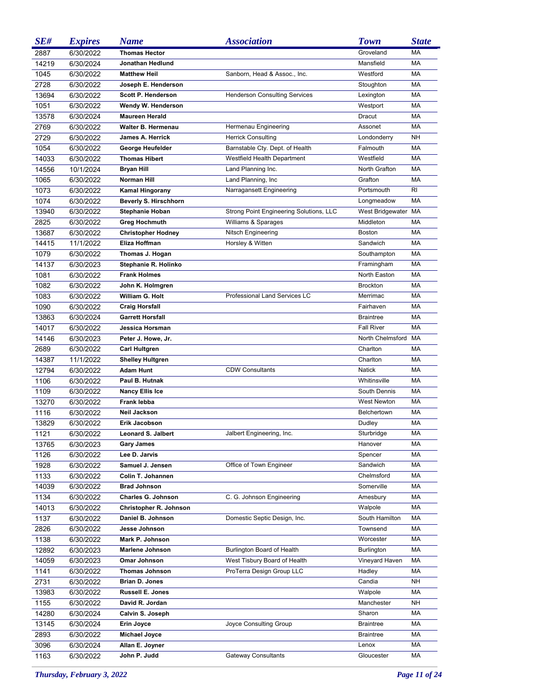| SE#   | <b>Expires</b> | <b>Name</b>                                 | <i><b>Association</b></i>               | <b>Town</b>                | <b>State</b> |
|-------|----------------|---------------------------------------------|-----------------------------------------|----------------------------|--------------|
| 2887  | 6/30/2022      | <b>Thomas Hector</b>                        |                                         | Groveland                  | <b>MA</b>    |
| 14219 | 6/30/2024      | <b>Jonathan Hedlund</b>                     |                                         | Mansfield                  | <b>MA</b>    |
| 1045  | 6/30/2022      | <b>Matthew Heil</b>                         | Sanborn, Head & Assoc., Inc.            | Westford                   | MA           |
| 2728  | 6/30/2022      | Joseph E. Henderson                         |                                         | Stoughton                  | <b>MA</b>    |
| 13694 | 6/30/2022      | <b>Scott P. Henderson</b>                   | <b>Henderson Consulting Services</b>    | Lexington                  | <b>MA</b>    |
| 1051  | 6/30/2022      | Wendy W. Henderson                          |                                         | Westport                   | <b>MA</b>    |
| 13578 | 6/30/2024      | <b>Maureen Herald</b>                       |                                         | Dracut                     | <b>MA</b>    |
| 2769  | 6/30/2022      | <b>Walter B. Hermenau</b>                   | Hermenau Engineering                    | Assonet                    | <b>MA</b>    |
| 2729  | 6/30/2022      | James A. Herrick                            | <b>Herrick Consulting</b>               | Londonderry                | <b>NH</b>    |
| 1054  | 6/30/2022      | George Heufelder                            | Barnstable Cty. Dept. of Health         | Falmouth                   | MA           |
| 14033 | 6/30/2022      | <b>Thomas Hibert</b>                        | Westfield Health Department             | Westfield                  | <b>MA</b>    |
| 14556 | 10/1/2024      | <b>Bryan Hill</b>                           | Land Planning Inc.                      | North Grafton              | <b>MA</b>    |
| 1065  | 6/30/2022      | <b>Norman Hill</b>                          | Land Planning, Inc.                     | Grafton                    | <b>MA</b>    |
| 1073  | 6/30/2022      | <b>Kamal Hingorany</b>                      | Narragansett Engineering                | Portsmouth                 | RI.          |
| 1074  | 6/30/2022      | Beverly S. Hirschhorn                       |                                         | Longmeadow                 | <b>MA</b>    |
| 13940 | 6/30/2022      | <b>Stephanie Hoban</b>                      | Strong Point Engineering Solutions, LLC | West Bridgewater MA        |              |
| 2825  | 6/30/2022      | <b>Greg Hochmuth</b>                        | Williams & Sparages                     | Middleton                  | <b>MA</b>    |
| 13687 | 6/30/2022      | <b>Christopher Hodney</b>                   | Nitsch Engineering                      | <b>Boston</b>              | <b>MA</b>    |
| 14415 | 11/1/2022      | Eliza Hoffman                               | Horsley & Witten                        | Sandwich                   | <b>MA</b>    |
| 1079  | 6/30/2022      | Thomas J. Hogan                             |                                         | Southampton                | <b>MA</b>    |
| 14137 |                |                                             |                                         |                            | <b>MA</b>    |
|       | 6/30/2023      | Stephanie R. Holinko<br><b>Frank Holmes</b> |                                         | Framingham<br>North Easton | <b>MA</b>    |
| 1081  | 6/30/2022      |                                             |                                         |                            |              |
| 1082  | 6/30/2022      | John K. Holmgren                            |                                         | <b>Brockton</b>            | <b>MA</b>    |
| 1083  | 6/30/2022      | <b>William G. Holt</b>                      | Professional Land Services LC           | Merrimac                   | <b>MA</b>    |
| 1090  | 6/30/2022      | <b>Craig Horsfall</b>                       |                                         | Fairhaven                  | <b>MA</b>    |
| 13863 | 6/30/2024      | <b>Garrett Horsfall</b>                     |                                         | <b>Braintree</b>           | <b>MA</b>    |
| 14017 | 6/30/2022      | Jessica Horsman                             |                                         | <b>Fall River</b>          | <b>MA</b>    |
| 14146 | 6/30/2023      | Peter J. Howe, Jr.                          |                                         | North Chelmsford           | MA           |
| 2689  | 6/30/2022      | <b>Carl Hultgren</b>                        |                                         | Charlton                   | <b>MA</b>    |
| 14387 | 11/1/2022      | <b>Shelley Hultgren</b>                     |                                         | Charlton                   | <b>MA</b>    |
| 12794 | 6/30/2022      | <b>Adam Hunt</b>                            | <b>CDW Consultants</b>                  | <b>Natick</b>              | MA           |
| 1106  | 6/30/2022      | Paul B. Hutnak                              |                                         | Whitinsville               | <b>MA</b>    |
| 1109  | 6/30/2022      | <b>Nancy Ellis Ice</b>                      |                                         | South Dennis               | MA           |
| 13270 | 6/30/2022      | Frank lebba                                 |                                         | West Newton                | MA           |
| 1116  | 6/30/2022      | <b>Neil Jackson</b>                         |                                         | Belchertown                | MA           |
| 13829 | 6/30/2022      | Erik Jacobson                               |                                         | Dudley                     | MA           |
| 1121  | 6/30/2022      | <b>Leonard S. Jalbert</b>                   | Jalbert Engineering, Inc.               | Sturbridge                 | МA           |
| 13765 | 6/30/2023      | <b>Gary James</b>                           |                                         | Hanover                    | МA           |
| 1126  | 6/30/2022      | Lee D. Jarvis                               |                                         | Spencer                    | МA           |
| 1928  | 6/30/2022      | Samuel J. Jensen                            | Office of Town Engineer                 | Sandwich                   | МA           |
| 1133  | 6/30/2022      | Colin T. Johannen                           |                                         | Chelmsford                 | МA           |
| 14039 | 6/30/2022      | <b>Brad Johnson</b>                         |                                         | Somerville                 | МA           |
| 1134  | 6/30/2022      | Charles G. Johnson                          | C. G. Johnson Engineering               | Amesbury                   | МA           |
| 14013 | 6/30/2022      | Christopher R. Johnson                      |                                         | Walpole                    | МA           |
| 1137  | 6/30/2022      | Daniel B. Johnson                           | Domestic Septic Design, Inc.            | South Hamilton             | МA           |
| 2826  | 6/30/2022      | Jesse Johnson                               |                                         | Townsend                   | МA           |
| 1138  | 6/30/2022      | Mark P. Johnson                             |                                         | Worcester                  | МA           |
| 12892 | 6/30/2023      | <b>Marlene Johnson</b>                      | Burlington Board of Health              | Burlington                 | МA           |
| 14059 | 6/30/2023      | Omar Johnson                                | West Tisbury Board of Health            | Vineyard Haven             | МA           |
| 1141  | 6/30/2022      | <b>Thomas Johnson</b>                       | ProTerra Design Group LLC               | Hadley                     | MA           |
| 2731  | 6/30/2022      | <b>Brian D. Jones</b>                       |                                         | Candia                     | NΗ           |
| 13983 | 6/30/2022      | <b>Russell E. Jones</b>                     |                                         | Walpole                    | МA           |
| 1155  | 6/30/2022      | David R. Jordan                             |                                         | Manchester                 | NΗ           |
| 14280 | 6/30/2024      | Calvin S. Joseph                            |                                         | Sharon                     | MA           |
| 13145 | 6/30/2024      | Erin Joyce                                  | Joyce Consulting Group                  | <b>Braintree</b>           | МA           |
| 2893  | 6/30/2022      | Michael Joyce                               |                                         | <b>Braintree</b>           | МA           |
| 3096  | 6/30/2024      | Allan E. Joyner                             |                                         | Lenox                      | MA           |
| 1163  | 6/30/2022      | John P. Judd                                | <b>Gateway Consultants</b>              | Gloucester                 | MA           |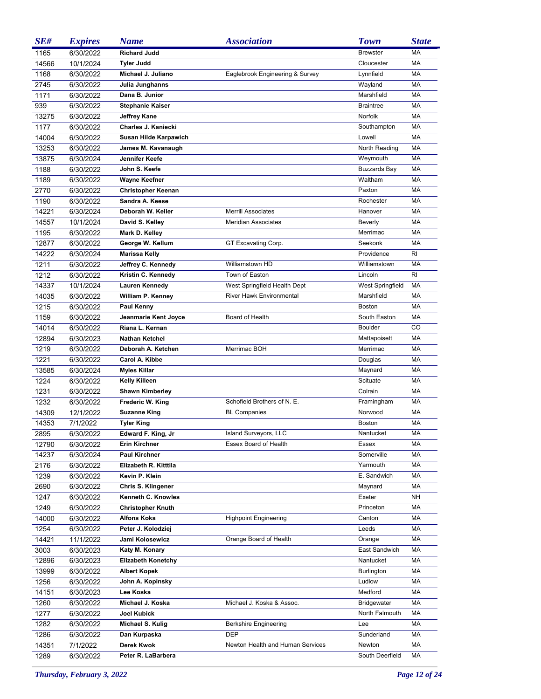| SE#   | <b>Expires</b> | <b>Name</b>               | <i><b>Association</b></i>        | <b>Town</b>             | <b>State</b> |
|-------|----------------|---------------------------|----------------------------------|-------------------------|--------------|
| 1165  | 6/30/2022      | <b>Richard Judd</b>       |                                  | <b>Brewster</b>         | <b>MA</b>    |
| 14566 | 10/1/2024      | <b>Tyler Judd</b>         |                                  | Cloucester              | <b>MA</b>    |
| 1168  | 6/30/2022      | Michael J. Juliano        | Eaglebrook Engineering & Survey  | Lynnfield               | <b>MA</b>    |
| 2745  | 6/30/2022      | Julia Junghanns           |                                  | Wayland                 | <b>MA</b>    |
| 1171  | 6/30/2022      | Dana B. Junior            |                                  | Marshfield              | <b>MA</b>    |
| 939   | 6/30/2022      | <b>Stephanie Kaiser</b>   |                                  | <b>Braintree</b>        | <b>MA</b>    |
| 13275 | 6/30/2022      | Jeffrey Kane              |                                  | Norfolk                 | <b>MA</b>    |
| 1177  | 6/30/2022      | Charles J. Kaniecki       |                                  | Southampton             | <b>MA</b>    |
| 14004 | 6/30/2022      | Susan Hilde Karpawich     |                                  | Lowell                  | <b>MA</b>    |
| 13253 | 6/30/2022      | James M. Kavanaugh        |                                  | North Reading           | <b>MA</b>    |
| 13875 | 6/30/2024      | Jennifer Keefe            |                                  | Weymouth                | <b>MA</b>    |
| 1188  | 6/30/2022      | John S. Keefe             |                                  | <b>Buzzards Bay</b>     | MA           |
| 1189  | 6/30/2022      | Wayne Keefner             |                                  | Waltham                 | MA           |
| 2770  | 6/30/2022      | <b>Christopher Keenan</b> |                                  | Paxton                  | MA           |
| 1190  | 6/30/2022      | Sandra A. Keese           |                                  | Rochester               | MA           |
| 14221 | 6/30/2024      | Deborah W. Keller         | <b>Merrill Associates</b>        | Hanover                 | MA           |
| 14557 | 10/1/2024      | David S. Kelley           | <b>Meridian Associates</b>       | Beverly                 | MA           |
| 1195  | 6/30/2022      | Mark D. Kelley            |                                  | Merrimac                | MA           |
| 12877 | 6/30/2022      | George W. Kellum          | GT Excavating Corp.              | Seekonk                 | MA           |
| 14222 | 6/30/2024      | <b>Marissa Kelly</b>      |                                  | Providence              | RI           |
| 1211  | 6/30/2022      | Jeffrey C. Kennedy        | Williamstown HD                  | Williamstown            | MA           |
| 1212  | 6/30/2022      | Kristin C. Kennedy        | Town of Easton                   | Lincoln                 | RI           |
| 14337 | 10/1/2024      | <b>Lauren Kennedy</b>     | West Springfield Health Dept     | <b>West Springfield</b> | MA           |
| 14035 | 6/30/2022      | William P. Kenney         | <b>River Hawk Environmental</b>  | Marshfield              | <b>MA</b>    |
| 1215  | 6/30/2022      | Paul Kenny                |                                  | <b>Boston</b>           | MA           |
| 1159  | 6/30/2022      | Jeanmarie Kent Joyce      | Board of Health                  | South Easton            | MA           |
| 14014 | 6/30/2022      | Riana L. Kernan           |                                  | <b>Boulder</b>          | CO           |
| 12894 | 6/30/2023      | <b>Nathan Ketchel</b>     |                                  | Mattapoisett            | MA           |
| 1219  | 6/30/2022      | Deborah A. Ketchen        | Merrimac BOH                     | Merrimac                | MA           |
| 1221  | 6/30/2022      | Carol A. Kibbe            |                                  | Douglas                 | MA           |
| 13585 | 6/30/2024      | <b>Myles Killar</b>       |                                  | Maynard                 | MA           |
| 1224  | 6/30/2022      | <b>Kelly Killeen</b>      |                                  | Scituate                | MA           |
| 1231  | 6/30/2022      | <b>Shawn Kimberley</b>    |                                  | Colrain                 | <b>MA</b>    |
| 1232  | 6/30/2022      | Frederic W. King          | Schofield Brothers of N. E.      | Framingham              | <b>MA</b>    |
| 14309 | 12/1/2022      | <b>Suzanne King</b>       | <b>BL Companies</b>              | Norwood                 | <b>MA</b>    |
| 14353 | 7/1/2022       | <b>Tyler King</b>         |                                  | <b>Boston</b>           | <b>MA</b>    |
| 2895  | 6/30/2022      | Edward F. King, Jr        | Island Surveyors, LLC            | Nantucket               | МA           |
| 12790 | 6/30/2022      | Erin Kirchner             | Essex Board of Health            | Essex                   | МA           |
| 14237 | 6/30/2024      | <b>Paul Kirchner</b>      |                                  | Somerville              | МA           |
| 2176  | 6/30/2022      | Elizabeth R. Kitttila     |                                  | Yarmouth                | МA           |
| 1239  | 6/30/2022      | Kevin P. Klein            |                                  | E. Sandwich             | МA           |
| 2690  | 6/30/2022      | Chris S. Klingener        |                                  | Maynard                 | МA           |
| 1247  | 6/30/2022      | Kenneth C. Knowles        |                                  | Exeter                  | NΗ           |
| 1249  | 6/30/2022      | <b>Christopher Knuth</b>  |                                  | Princeton               | МA           |
| 14000 | 6/30/2022      | <b>Alfons Koka</b>        | <b>Highpoint Engineering</b>     | Canton                  | МA           |
| 1254  | 6/30/2022      | Peter J. Kolodziej        |                                  | Leeds                   | МA           |
| 14421 | 11/1/2022      | Jami Kolosewicz           | Orange Board of Health           | Orange                  | МA           |
| 3003  | 6/30/2023      | Katy M. Konary            |                                  | East Sandwich           | МA           |
| 12896 | 6/30/2023      | <b>Elizabeth Konetchy</b> |                                  | Nantucket               | МA           |
| 13999 | 6/30/2022      | <b>Albert Kopek</b>       |                                  | Burlington              | МA           |
| 1256  | 6/30/2022      | John A. Kopinsky          |                                  | Ludlow                  | МA           |
| 14151 | 6/30/2023      | Lee Koska                 |                                  | Medford                 | МA           |
| 1260  | 6/30/2022      | Michael J. Koska          | Michael J. Koska & Assoc.        | <b>Bridgewater</b>      | МA           |
| 1277  | 6/30/2022      | Joel Kubick               |                                  | North Falmouth          | МA           |
| 1282  | 6/30/2022      | Michael S. Kulig          | <b>Berkshire Engineering</b>     | Lee                     | МA           |
| 1286  | 6/30/2022      | Dan Kurpaska              | <b>DEP</b>                       | Sunderland              | МA           |
| 14351 | 7/1/2022       | Derek Kwok                | Newton Health and Human Services | Newton                  | МA           |
| 1289  | 6/30/2022      | Peter R. LaBarbera        |                                  | South Deerfield         | МA           |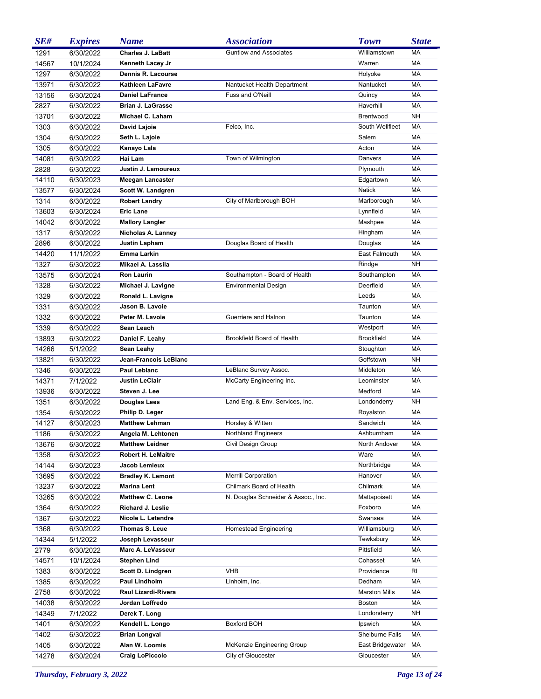| SE#   | <b>Expires</b> | <b>Name</b>                               | <b>Association</b>                  | <b>Town</b>                | <b>State</b> |
|-------|----------------|-------------------------------------------|-------------------------------------|----------------------------|--------------|
| 1291  | 6/30/2022      | <b>Charles J. LaBatt</b>                  | <b>Guntlow and Associates</b>       | Williamstown               | MA           |
| 14567 | 10/1/2024      | Kenneth Lacey Jr                          |                                     | Warren                     | <b>MA</b>    |
| 1297  | 6/30/2022      | <b>Dennis R. Lacourse</b>                 |                                     | Holyoke                    | <b>MA</b>    |
| 13971 | 6/30/2022      | <b>Kathleen LaFavre</b>                   | Nantucket Health Department         | Nantucket                  | <b>MA</b>    |
| 13156 | 6/30/2024      | <b>Daniel LaFrance</b>                    | Fuss and O'Neill                    | Quincy                     | <b>MA</b>    |
| 2827  | 6/30/2022      | <b>Brian J. LaGrasse</b>                  |                                     | Haverhill                  | <b>MA</b>    |
| 13701 | 6/30/2022      | Michael C. Laham                          |                                     | Brentwood                  | <b>NH</b>    |
| 1303  | 6/30/2022      | David Lajoie                              | Felco, Inc.                         | South Wellfleet            | <b>MA</b>    |
| 1304  | 6/30/2022      | Seth L. Lajoie                            |                                     | Salem                      | <b>MA</b>    |
| 1305  | 6/30/2022      | Kanayo Lala                               |                                     | Acton                      | <b>MA</b>    |
| 14081 | 6/30/2022      | Hai Lam                                   | Town of Wilmington                  | Danvers                    | <b>MA</b>    |
| 2828  | 6/30/2022      | Justin J. Lamoureux                       |                                     | Plymouth                   | MA           |
| 14110 | 6/30/2023      | <b>Meegan Lancaster</b>                   |                                     | Edgartown                  | MA           |
| 13577 | 6/30/2024      | Scott W. Landgren                         |                                     | <b>Natick</b>              | MA           |
| 1314  | 6/30/2022      | <b>Robert Landry</b>                      | City of Marlborough BOH             | Marlborough                | MA           |
| 13603 | 6/30/2024      | <b>Eric Lane</b>                          |                                     | Lynnfield                  | MA           |
| 14042 | 6/30/2022      | <b>Mallory Langler</b>                    |                                     | Mashpee                    | MA           |
| 1317  | 6/30/2022      | Nicholas A. Lanney                        |                                     | Hingham                    | MA           |
| 2896  | 6/30/2022      | Justin Lapham                             | Douglas Board of Health             | Douglas                    | MA           |
| 14420 | 11/1/2022      | Emma Larkin                               |                                     | East Falmouth              | MA           |
| 1327  | 6/30/2022      | Mikael A. Lassila                         |                                     | Rindge                     | <b>NH</b>    |
| 13575 | 6/30/2024      | <b>Ron Laurin</b>                         | Southampton - Board of Health       | Southampton                | МA           |
| 1328  | 6/30/2022      | Michael J. Lavigne                        | <b>Environmental Design</b>         | Deerfield                  | MA           |
| 1329  | 6/30/2022      | Ronald L. Lavigne                         |                                     | Leeds                      | MA           |
| 1331  | 6/30/2022      | Jason B. Lavoie                           |                                     | Taunton                    | MA           |
| 1332  | 6/30/2022      | Peter M. Lavoie                           | Guerriere and Halnon                | Taunton                    | MA           |
| 1339  | 6/30/2022      | Sean Leach                                |                                     | Westport                   | MA           |
| 13893 | 6/30/2022      | Daniel F. Leahy                           | Brookfield Board of Health          | <b>Brookfield</b>          | MA           |
| 14266 | 5/1/2022       | <b>Sean Leahy</b>                         |                                     | Stoughton                  | MA           |
| 13821 | 6/30/2022      | Jean-Francois LeBlanc                     |                                     | Goffstown                  | NΗ           |
| 1346  | 6/30/2022      | Paul Leblanc                              | LeBlanc Survey Assoc.               | Middleton                  | MA           |
| 14371 | 7/1/2022       | <b>Justin LeClair</b>                     | McCarty Engineering Inc.            | Leominster                 | MA           |
| 13936 | 6/30/2022      | Steven J. Lee                             |                                     | Medford                    | MA           |
| 1351  | 6/30/2022      | Douglas Lees                              | Land Eng. & Env. Services, Inc.     | Londonderry                | NΗ           |
| 1354  | 6/30/2022      | Philip D. Leger                           |                                     | Royalston                  | MA           |
| 14127 | 6/30/2023      | <b>Matthew Lehman</b>                     | Horsley & Witten                    | Sandwich                   | MA           |
| 1186  | 6/30/2022      | Angela M. Lehtonen                        | Northland Engineers                 | Ashburnham                 | МA           |
| 13676 | 6/30/2022      | <b>Matthew Leidner</b>                    | Civil Design Group                  | North Andover              | МA           |
| 1358  | 6/30/2022      | <b>Robert H. LeMaitre</b>                 |                                     | Ware                       | МA           |
| 14144 | 6/30/2023      | Jacob Lemieux                             |                                     | Northbridge                | МA           |
| 13695 | 6/30/2022      | <b>Bradley K. Lemont</b>                  | <b>Merrill Corporation</b>          | Hanover                    | МA           |
| 13237 | 6/30/2022      | <b>Marina Lent</b>                        | Chilmark Board of Health            | Chilmark                   | МA           |
| 13265 | 6/30/2022      | <b>Matthew C. Leone</b>                   | N. Douglas Schneider & Assoc., Inc. | Mattapoisett               | МA           |
| 1364  | 6/30/2022      | Richard J. Leslie                         |                                     | Foxboro                    | МA           |
| 1367  | 6/30/2022      | Nicole L. Letendre                        |                                     | Swansea                    | МA           |
| 1368  | 6/30/2022      | <b>Thomas S. Leue</b><br>Joseph Levasseur | Homestead Engineering               | Williamsburg<br>Tewksbury  | МA           |
| 14344 | 5/1/2022       | Marc A. LeVasseur                         |                                     |                            | МA           |
| 2779  | 6/30/2022      |                                           |                                     | Pittsfield                 | МA           |
| 14571 | 10/1/2024      | <b>Stephen Lind</b>                       |                                     | Cohasset                   | МA           |
| 1383  | 6/30/2022      | Scott D. Lindgren<br>Paul Lindholm        | <b>VHB</b>                          | Providence<br>Dedham       | RI<br>МA     |
| 1385  | 6/30/2022      | Raul Lizardi-Rivera                       | Linholm, Inc.                       | <b>Marston Mills</b>       | МA           |
| 2758  | 6/30/2022      |                                           |                                     |                            |              |
| 14038 | 6/30/2022      | Jordan Loffredo                           |                                     | Boston                     | МA           |
| 14349 | 7/1/2022       | Derek T. Long                             |                                     | Londonderry                | NΗ           |
| 1401  | 6/30/2022      | Kendell L. Longo                          | Boxford BOH                         | Ipswich<br>Shelburne Falls | МA           |
| 1402  | 6/30/2022      | <b>Brian Longval</b>                      |                                     |                            | МA           |
| 1405  | 6/30/2022      | Alan W. Loomis                            | McKenzie Engineering Group          | East Bridgewater           | МA           |
| 14278 | 6/30/2024      | <b>Craig LoPiccolo</b>                    | City of Gloucester                  | Gloucester                 | МA           |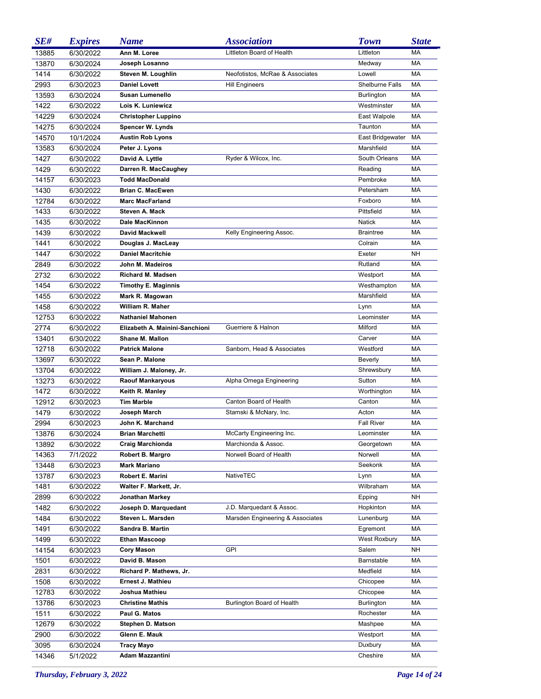| SE#   | <b>Expires</b> | <b>Name</b>                    | <b>Association</b>               | <b>Town</b>       | <b>State</b> |
|-------|----------------|--------------------------------|----------------------------------|-------------------|--------------|
| 13885 | 6/30/2022      | Ann M. Loree                   | Littleton Board of Health        | Littleton         | <b>MA</b>    |
| 13870 | 6/30/2024      | Joseph Losanno                 |                                  | Medway            | MA           |
| 1414  | 6/30/2022      | Steven M. Loughlin             | Neofotistos, McRae & Associates  | Lowell            | МA           |
| 2993  | 6/30/2023      | <b>Daniel Lovett</b>           | <b>Hill Engineers</b>            | Shelburne Falls   | MA           |
| 13593 | 6/30/2024      | <b>Susan Lumenello</b>         |                                  | Burlington        | MA           |
| 1422  | 6/30/2022      | Lois K. Luniewicz              |                                  | Westminster       | MA           |
| 14229 | 6/30/2024      | <b>Christopher Luppino</b>     |                                  | East Walpole      | МA           |
| 14275 | 6/30/2024      | <b>Spencer W. Lynds</b>        |                                  | Taunton           | МA           |
| 14570 | 10/1/2024      | <b>Austin Rob Lyons</b>        |                                  | East Bridgewater  | МA           |
| 13583 | 6/30/2024      | Peter J. Lyons                 |                                  | Marshfield        | MA           |
| 1427  | 6/30/2022      | David A. Lyttle                | Ryder & Wilcox, Inc.             | South Orleans     | MA           |
| 1429  | 6/30/2022      | Darren R. MacCaughey           |                                  | Reading           | МA           |
| 14157 | 6/30/2023      | <b>Todd MacDonald</b>          |                                  | Pembroke          | МA           |
| 1430  | 6/30/2022      | <b>Brian C. MacEwen</b>        |                                  | Petersham         | MA           |
| 12784 | 6/30/2022      | <b>Marc MacFarland</b>         |                                  | Foxboro           | MA           |
| 1433  | 6/30/2022      | Steven A. Mack                 |                                  | Pittsfield        | МA           |
| 1435  | 6/30/2022      | Dale MacKinnon                 |                                  | <b>Natick</b>     | МA           |
| 1439  | 6/30/2022      | <b>David Mackwell</b>          | Kelly Engineering Assoc.         | <b>Braintree</b>  | МA           |
| 1441  | 6/30/2022      | Douglas J. MacLeay             |                                  | Colrain           | MA           |
| 1447  | 6/30/2022      | <b>Daniel Macritchie</b>       |                                  | Exeter            | NΗ           |
| 2849  | 6/30/2022      | John M. Madeiros               |                                  | Rutland           | МA           |
| 2732  | 6/30/2022      | <b>Richard M. Madsen</b>       |                                  | Westport          | MA           |
| 1454  | 6/30/2022      | <b>Timothy E. Maginnis</b>     |                                  | Westhampton       | MA           |
| 1455  | 6/30/2022      | Mark R. Magowan                |                                  | Marshfield        | МA           |
| 1458  | 6/30/2022      | William R. Maher               |                                  | Lynn              | МA           |
| 12753 | 6/30/2022      | <b>Nathaniel Mahonen</b>       |                                  | Leominster        | МA           |
| 2774  | 6/30/2022      | Elizabeth A. Mainini-Sanchioni | Guerriere & Halnon               | Milford           | МA           |
| 13401 | 6/30/2022      | Shane M. Mallon                |                                  | Carver            | МA           |
| 12718 | 6/30/2022      | <b>Patrick Malone</b>          | Sanborn, Head & Associates       | Westford          | МA           |
| 13697 | 6/30/2022      | Sean P. Malone                 |                                  | Beverly           | МA           |
| 13704 | 6/30/2022      | William J. Maloney, Jr.        |                                  | Shrewsbury        | МA           |
| 13273 | 6/30/2022      | <b>Raouf Mankaryous</b>        | Alpha Omega Engineering          | Sutton            | МA           |
| 1472  | 6/30/2022      | Keith R. Manley                |                                  | Worthington       | МA           |
| 12912 | 6/30/2023      | <b>Tim Marble</b>              | Canton Board of Health           | Canton            | МA           |
| 1479  | 6/30/2022      | Joseph March                   | Stamski & McNary, Inc.           | Acton             | MA           |
| 2994  | 6/30/2023      | John K. Marchand               |                                  | <b>Fall River</b> | МA           |
| 13876 | 6/30/2024      | Brian Marchetti                | McCarty Engineering Inc.         | Leominster        | МA           |
| 13892 | 6/30/2022      | <b>Craig Marchionda</b>        | Marchionda & Assoc.              | Georgetown        | МA           |
| 14363 | 7/1/2022       | Robert B. Margro               | Norwell Board of Health          | Norwell           | МA           |
| 13448 | 6/30/2023      | <b>Mark Mariano</b>            |                                  | Seekonk           | МA           |
| 13787 | 6/30/2023      | Robert E. Marini               | NativeTEC                        | Lynn              | МA           |
| 1481  | 6/30/2022      | Walter F. Markett, Jr.         |                                  | Wilbraham         | МA           |
| 2899  | 6/30/2022      | Jonathan Markey                |                                  | Epping            | NΗ           |
| 1482  | 6/30/2022      | Joseph D. Marquedant           | J.D. Marquedant & Assoc.         | Hopkinton         | МA           |
| 1484  | 6/30/2022      | Steven L. Marsden              | Marsden Engineering & Associates | Lunenburg         | МA           |
| 1491  | 6/30/2022      | Sandra B. Martin               |                                  | Egremont          | МA           |
| 1499  | 6/30/2022      | <b>Ethan Mascoop</b>           |                                  | West Roxbury      | МA           |
| 14154 | 6/30/2023      | <b>Cory Mason</b>              | GPI                              | Salem             | NΗ           |
| 1501  | 6/30/2022      | David B. Mason                 |                                  | Barnstable        | МA           |
| 2831  | 6/30/2022      | Richard P. Mathews, Jr.        |                                  | Medfield          | МA           |
| 1508  | 6/30/2022      | Ernest J. Mathieu              |                                  | Chicopee          | МA           |
| 12783 | 6/30/2022      | Joshua Mathieu                 |                                  | Chicopee          | МA           |
| 13786 | 6/30/2023      | <b>Christine Mathis</b>        | Burlington Board of Health       | Burlington        | МA           |
| 1511  | 6/30/2022      | Paul G. Matos                  |                                  | Rochester         | МA           |
| 12679 | 6/30/2022      | Stephen D. Matson              |                                  | Mashpee           | МA           |
| 2900  | 6/30/2022      | Glenn E. Mauk                  |                                  | Westport          | МA           |
| 3095  | 6/30/2024      | <b>Tracy Mayo</b>              |                                  | Duxbury           | МA           |
| 14346 | 5/1/2022       | Adam Mazzantini                |                                  | Cheshire          | MA           |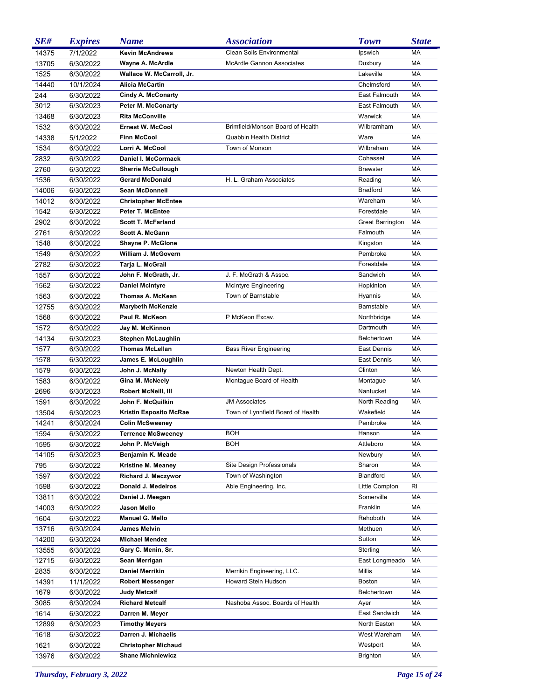| SE#   | <b>Expires</b> | <b>Name</b>                | <i><b>Association</b></i>         | <b>Town</b>             | <b>State</b> |
|-------|----------------|----------------------------|-----------------------------------|-------------------------|--------------|
| 14375 | 7/1/2022       | <b>Kevin McAndrews</b>     | Clean Soils Environmental         | Ipswich                 | <b>MA</b>    |
| 13705 | 6/30/2022      | Wayne A. McArdle           | <b>McArdle Gannon Associates</b>  | Duxbury                 | <b>MA</b>    |
| 1525  | 6/30/2022      | Wallace W. McCarroll, Jr.  |                                   | Lakeville               | <b>MA</b>    |
| 14440 | 10/1/2024      | <b>Alicia McCartin</b>     |                                   | Chelmsford              | <b>MA</b>    |
| 244   | 6/30/2022      | <b>Cindy A. McConarty</b>  |                                   | East Falmouth           | <b>MA</b>    |
| 3012  | 6/30/2023      | <b>Peter M. McConarty</b>  |                                   | East Falmouth           | <b>MA</b>    |
| 13468 | 6/30/2023      | <b>Rita McConville</b>     |                                   | Warwick                 | <b>MA</b>    |
| 1532  | 6/30/2022      | <b>Ernest W. McCool</b>    | Brimfield/Monson Board of Health  | Wilbramham              | <b>MA</b>    |
| 14338 | 5/1/2022       | <b>Finn McCool</b>         | <b>Quabbin Health District</b>    | Ware                    | <b>MA</b>    |
| 1534  | 6/30/2022      | Lorri A. McCool            | Town of Monson                    | Wilbraham               | <b>MA</b>    |
| 2832  | 6/30/2022      | <b>Daniel I. McCormack</b> |                                   | Cohasset                | MA           |
| 2760  | 6/30/2022      | <b>Sherrie McCullough</b>  |                                   | <b>Brewster</b>         | <b>MA</b>    |
| 1536  | 6/30/2022      | <b>Gerard McDonald</b>     | H. L. Graham Associates           | Reading                 | <b>MA</b>    |
| 14006 | 6/30/2022      | <b>Sean McDonnell</b>      |                                   | <b>Bradford</b>         | <b>MA</b>    |
| 14012 | 6/30/2022      | <b>Christopher McEntee</b> |                                   | Wareham                 | <b>MA</b>    |
| 1542  | 6/30/2022      | Peter T. McEntee           |                                   | Forestdale              | <b>MA</b>    |
| 2902  | 6/30/2022      | <b>Scott T. McFarland</b>  |                                   | <b>Great Barrington</b> | MA           |
| 2761  | 6/30/2022      | <b>Scott A. McGann</b>     |                                   | Falmouth                | <b>MA</b>    |
| 1548  | 6/30/2022      | Shayne P. McGlone          |                                   | Kingston                | <b>MA</b>    |
| 1549  | 6/30/2022      | William J. McGovern        |                                   | Pembroke                | <b>MA</b>    |
| 2782  | 6/30/2022      | Tarja L. McGrail           |                                   | Forestdale              | <b>MA</b>    |
| 1557  | 6/30/2022      | John F. McGrath, Jr.       | J. F. McGrath & Assoc.            | Sandwich                | <b>MA</b>    |
| 1562  | 6/30/2022      | <b>Daniel McIntyre</b>     | McIntyre Engineering              | Hopkinton               | <b>MA</b>    |
| 1563  | 6/30/2022      | Thomas A. McKean           | Town of Barnstable                | Hyannis                 | <b>MA</b>    |
| 12755 | 6/30/2022      | <b>Marybeth McKenzie</b>   |                                   | Barnstable              | <b>MA</b>    |
| 1568  | 6/30/2022      | Paul R. McKeon             | P McKeon Excav.                   | Northbridge             | <b>MA</b>    |
| 1572  | 6/30/2022      | Jay M. McKinnon            |                                   | Dartmouth               | <b>MA</b>    |
| 14134 | 6/30/2023      | <b>Stephen McLaughlin</b>  |                                   | Belchertown             | <b>MA</b>    |
| 1577  | 6/30/2022      | <b>Thomas McLellan</b>     | <b>Bass River Engineering</b>     | East Dennis             | <b>MA</b>    |
| 1578  | 6/30/2022      | James E. McLoughlin        |                                   | East Dennis             | <b>MA</b>    |
| 1579  | 6/30/2022      | John J. McNally            | Newton Health Dept.               | Clinton                 | <b>MA</b>    |
| 1583  | 6/30/2022      | Gina M. McNeely            | Montague Board of Health          | Montague                | MA           |
| 2696  | 6/30/2023      | Robert McNeill, III        |                                   | Nantucket               | MA           |
| 1591  | 6/30/2022      | John F. McQuilkin          | <b>JM Associates</b>              | North Reading           | МA           |
| 13504 | 6/30/2023      | Kristin Esposito McRae     | Town of Lynnfield Board of Health | Wakefield               | МA           |
| 14241 | 6/30/2024      | <b>Colin McSweeney</b>     |                                   | Pembroke                | MA           |
| 1594  | 6/30/2022      | Terrence McSweeney         | <b>BOH</b>                        | Hanson                  | МA           |
| 1595  | 6/30/2022      | John P. McVeigh            | BOH                               | Attleboro               | МA           |
| 14105 | 6/30/2023      | Benjamin K. Meade          |                                   | Newbury                 | МA           |
| 795   | 6/30/2022      | Kristine M. Meaney         | Site Design Professionals         | Sharon                  | МA           |
| 1597  | 6/30/2022      | Richard J. Meczywor        | Town of Washington                | Blandford               | MA           |
| 1598  | 6/30/2022      | Donald J. Medeiros         | Able Engineering, Inc.            | Little Compton          | RI           |
| 13811 | 6/30/2022      | Daniel J. Meegan           |                                   | Somerville              | МA           |
| 14003 | 6/30/2022      | Jason Mello                |                                   | Franklin                | МA           |
| 1604  | 6/30/2022      | Manuel G. Mello            |                                   | Rehoboth                | МA           |
| 13716 | 6/30/2024      | <b>James Melvin</b>        |                                   | Methuen                 | МA           |
| 14200 | 6/30/2024      | <b>Michael Mendez</b>      |                                   | Sutton                  | МA           |
| 13555 | 6/30/2022      | Gary C. Menin, Sr.         |                                   | Sterling                | МA           |
| 12715 | 6/30/2022      | Sean Merrigan              |                                   | East Longmeado          | МA           |
| 2835  | 6/30/2022      | Daniel Merrikin            | Merrikin Engineering, LLC.        | Millis                  | МA           |
| 14391 | 11/1/2022      | <b>Robert Messenger</b>    | Howard Stein Hudson               | <b>Boston</b>           | МA           |
| 1679  | 6/30/2022      | Judy Metcalf               |                                   | Belchertown             | МA           |
| 3085  | 6/30/2024      | <b>Richard Metcalf</b>     | Nashoba Assoc. Boards of Health   | Ayer                    | МA           |
| 1614  | 6/30/2022      | Darren M. Meyer            |                                   | East Sandwich           | МA           |
| 12899 | 6/30/2023      | <b>Timothy Meyers</b>      |                                   | North Easton            | МA           |
| 1618  | 6/30/2022      | Darren J. Michaelis        |                                   | West Wareham            | МA           |
| 1621  | 6/30/2022      | <b>Christopher Michaud</b> |                                   | Westport                | MA           |
| 13976 | 6/30/2022      | <b>Shane Michniewicz</b>   |                                   | Brighton                | МA           |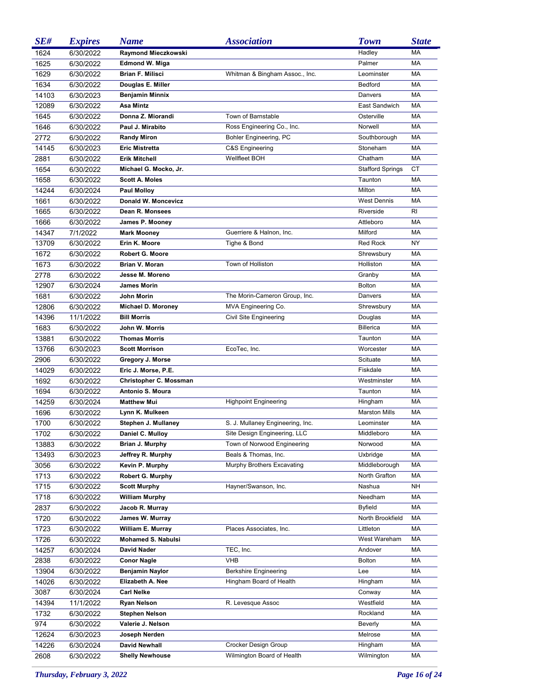| SE#   | <b>Expires</b> | <b>Name</b>                | <i><b>Association</b></i>        | <b>Town</b>             | <b>State</b> |
|-------|----------------|----------------------------|----------------------------------|-------------------------|--------------|
| 1624  | 6/30/2022      | Raymond Mieczkowski        |                                  | Hadley                  | <b>MA</b>    |
| 1625  | 6/30/2022      | <b>Edmond W. Miga</b>      |                                  | Palmer                  | <b>MA</b>    |
| 1629  | 6/30/2022      | <b>Brian F. Milisci</b>    | Whitman & Bingham Assoc., Inc.   | Leominster              | MA           |
| 1634  | 6/30/2022      | Douglas E. Miller          |                                  | Bedford                 | <b>MA</b>    |
| 14103 | 6/30/2023      | <b>Benjamin Minnix</b>     |                                  | Danvers                 | <b>MA</b>    |
| 12089 | 6/30/2022      | Asa Mintz                  |                                  | East Sandwich           | <b>MA</b>    |
| 1645  | 6/30/2022      | Donna Z. Miorandi          | Town of Barnstable               | Osterville              | <b>MA</b>    |
| 1646  | 6/30/2022      | Paul J. Mirabito           | Ross Engineering Co., Inc.       | Norwell                 | <b>MA</b>    |
| 2772  | 6/30/2022      | <b>Randy Miron</b>         | Bohler Engineering, PC           | Southborough            | MA           |
| 14145 | 6/30/2023      | <b>Eric Mistretta</b>      | C&S Engineering                  | Stoneham                | <b>MA</b>    |
| 2881  | 6/30/2022      | <b>Erik Mitchell</b>       | Wellfleet BOH                    | Chatham                 | <b>MA</b>    |
| 1654  | 6/30/2022      | Michael G. Mocko, Jr.      |                                  | <b>Stafford Springs</b> | СT           |
| 1658  | 6/30/2022      | <b>Scott A. Moles</b>      |                                  | Taunton                 | MA           |
| 14244 | 6/30/2024      | <b>Paul Molloy</b>         |                                  | Milton                  | MA           |
| 1661  | 6/30/2022      | <b>Donald W. Moncevicz</b> |                                  | <b>West Dennis</b>      | MA           |
| 1665  | 6/30/2022      | Dean R. Monsees            |                                  | Riverside               | RI           |
| 1666  | 6/30/2022      | James P. Mooney            |                                  | Attleboro               | MA           |
| 14347 | 7/1/2022       | <b>Mark Mooney</b>         | Guerriere & Halnon, Inc.         | Milford                 | MA           |
| 13709 | 6/30/2022      | Erin K. Moore              | Tighe & Bond                     | Red Rock                | NY           |
| 1672  | 6/30/2022      | <b>Robert G. Moore</b>     |                                  | Shrewsbury              | MA           |
| 1673  | 6/30/2022      | <b>Brian V. Moran</b>      | Town of Holliston                | Holliston               | MA           |
| 2778  | 6/30/2022      | Jesse M. Moreno            |                                  | Granby                  | MA           |
| 12907 | 6/30/2024      | <b>James Morin</b>         |                                  | <b>Bolton</b>           | MA           |
| 1681  | 6/30/2022      | John Morin                 | The Morin-Cameron Group, Inc.    | Danvers                 | MA           |
| 12806 | 6/30/2022      | Michael D. Moroney         | MVA Engineering Co.              | Shrewsbury              | MA           |
| 14396 | 11/1/2022      | <b>Bill Morris</b>         | Civil Site Engineering           | Douglas                 | MA           |
| 1683  | 6/30/2022      | John W. Morris             |                                  | <b>Billerica</b>        | MA           |
| 13881 | 6/30/2022      | <b>Thomas Morris</b>       |                                  | Taunton                 | MA           |
| 13766 | 6/30/2023      | <b>Scott Morrison</b>      | EcoTec, Inc.                     | Worcester               | MA           |
| 2906  | 6/30/2022      | Gregory J. Morse           |                                  | Scituate                | MA           |
| 14029 | 6/30/2022      | Eric J. Morse, P.E.        |                                  | Fiskdale                | MA           |
| 1692  | 6/30/2022      | Christopher C. Mossman     |                                  | Westminster             | MA           |
| 1694  | 6/30/2022      | Antonio S. Moura           |                                  | Taunton                 | MA           |
| 14259 | 6/30/2024      | <b>Matthew Mui</b>         | <b>Highpoint Engineering</b>     | Hingham                 | MA           |
| 1696  | 6/30/2022      | Lynn K. Mulkeen            |                                  | <b>Marston Mills</b>    | <b>MA</b>    |
| 1700  | 6/30/2022      | Stephen J. Mullaney        | S. J. Mullaney Engineering, Inc. | Leominster              | MA           |
| 1702  | 6/30/2022      | Daniel C. Mulloy           | Site Design Engineering, LLC     | Middleboro              | МA           |
| 13883 | 6/30/2022      | Brian J. Murphy            | Town of Norwood Engineering      | Norwood                 | МA           |
| 13493 | 6/30/2023      | Jeffrey R. Murphy          | Beals & Thomas, Inc.             | Uxbridge                | МA           |
| 3056  | 6/30/2022      | Kevin P. Murphy            | Murphy Brothers Excavating       | Middleborough           | МA           |
| 1713  | 6/30/2022      | Robert G. Murphy           |                                  | North Grafton           | МA           |
| 1715  | 6/30/2022      | <b>Scott Murphy</b>        | Hayner/Swanson, Inc.             | Nashua                  | NΗ           |
| 1718  | 6/30/2022      | <b>William Murphy</b>      |                                  | Needham                 | МA           |
| 2837  | 6/30/2022      | Jacob R. Murray            |                                  | <b>Byfield</b>          | МA           |
| 1720  | 6/30/2022      | James W. Murray            |                                  | North Brookfield        | МA           |
| 1723  | 6/30/2022      | William E. Murray          | Places Associates, Inc.          | Littleton               | МA           |
| 1726  | 6/30/2022      | <b>Mohamed S. Nabulsi</b>  |                                  | West Wareham            | МA           |
| 14257 | 6/30/2024      | David Nader                | TEC, Inc.                        | Andover                 | МA           |
| 2838  | 6/30/2022      | <b>Conor Nagle</b>         | <b>VHB</b>                       | <b>Bolton</b>           | МA           |
| 13904 | 6/30/2022      | <b>Benjamin Naylor</b>     | <b>Berkshire Engineering</b>     | Lee                     | МA           |
| 14026 | 6/30/2022      | Elizabeth A. Nee           | Hingham Board of Health          | Hingham                 | МA           |
| 3087  | 6/30/2024      | <b>Carl Nelke</b>          |                                  | Conway                  | МA           |
| 14394 | 11/1/2022      | <b>Ryan Nelson</b>         | R. Levesque Assoc                | Westfield               | МA           |
| 1732  | 6/30/2022      | <b>Stephen Nelson</b>      |                                  | Rockland                | МA           |
| 974   | 6/30/2022      | Valerie J. Nelson          |                                  | Beverly                 | МA           |
| 12624 | 6/30/2023      | Joseph Nerden              |                                  | Melrose                 | МA           |
| 14226 | 6/30/2024      | <b>David Newhall</b>       | Crocker Design Group             | Hingham                 | МA           |
| 2608  | 6/30/2022      | <b>Shelly Newhouse</b>     | Wilmington Board of Health       | Wilmington              | МA           |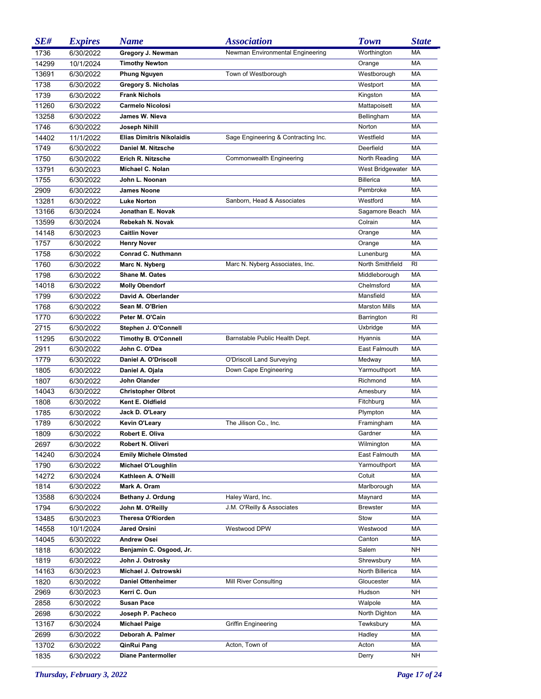| SE#   | <b>Expires</b> | <b>Name</b>                      | <i><b>Association</b></i>           | <b>Town</b>          | <b>State</b> |
|-------|----------------|----------------------------------|-------------------------------------|----------------------|--------------|
| 1736  | 6/30/2022      | Gregory J. Newman                | Newman Environmental Engineering    | Worthington          | <b>MA</b>    |
| 14299 | 10/1/2024      | <b>Timothy Newton</b>            |                                     | Orange               | <b>MA</b>    |
| 13691 | 6/30/2022      | <b>Phung Nguyen</b>              | Town of Westborough                 | Westborough          | <b>MA</b>    |
| 1738  | 6/30/2022      | <b>Gregory S. Nicholas</b>       |                                     | Westport             | <b>MA</b>    |
| 1739  | 6/30/2022      | <b>Frank Nichols</b>             |                                     | Kingston             | <b>MA</b>    |
| 11260 | 6/30/2022      | <b>Carmelo Nicolosi</b>          |                                     | Mattapoisett         | <b>MA</b>    |
| 13258 | 6/30/2022      | James W. Nieva                   |                                     | Bellingham           | <b>MA</b>    |
| 1746  | 6/30/2022      | Joseph Nihill                    |                                     | Norton               | <b>MA</b>    |
| 14402 | 11/1/2022      | <b>Elias Dimitris Nikolaidis</b> | Sage Engineering & Contracting Inc. | Westfield            | <b>MA</b>    |
| 1749  | 6/30/2022      | Daniel M. Nitzsche               |                                     | Deerfield            | <b>MA</b>    |
| 1750  | 6/30/2022      | Erich R. Nitzsche                | Commonwealth Engineering            | North Reading        | MA           |
| 13791 | 6/30/2023      | Michael C. Nolan                 |                                     | West Bridgewater MA  |              |
| 1755  | 6/30/2022      | John L. Noonan                   |                                     | <b>Billerica</b>     | MA           |
| 2909  | 6/30/2022      | <b>James Noone</b>               |                                     | Pembroke             | MA           |
| 13281 | 6/30/2022      | <b>Luke Norton</b>               | Sanborn, Head & Associates          | Westford             | MA           |
| 13166 | 6/30/2024      | Jonathan E. Novak                |                                     | Sagamore Beach       | МA           |
| 13599 | 6/30/2024      | Rebekah N. Novak                 |                                     | Colrain              | MA           |
| 14148 | 6/30/2023      | <b>Caitlin Nover</b>             |                                     | Orange               | MA           |
| 1757  | 6/30/2022      | <b>Henry Nover</b>               |                                     | Orange               | MA           |
| 1758  | 6/30/2022      | <b>Conrad C. Nuthmann</b>        |                                     | Lunenburg            | MA           |
| 1760  | 6/30/2022      | Marc N. Nyberg                   | Marc N. Nyberg Associates, Inc.     | North Smithfield     | RI           |
| 1798  | 6/30/2022      | <b>Shane M. Oates</b>            |                                     | Middleborough        | MA           |
| 14018 | 6/30/2022      | <b>Molly Obendorf</b>            |                                     | Chelmsford           | MA           |
| 1799  | 6/30/2022      | David A. Oberlander              |                                     | Mansfield            | MA           |
| 1768  | 6/30/2022      | Sean M. O'Brien                  |                                     | <b>Marston Mills</b> | MA           |
| 1770  | 6/30/2022      | Peter M. O'Cain                  |                                     | Barrington           | RI           |
| 2715  | 6/30/2022      | Stephen J. O'Connell             |                                     | Uxbridge             | MA           |
| 11295 | 6/30/2022      | <b>Timothy B. O'Connell</b>      | Barnstable Public Health Dept.      | Hyannis              | MA           |
| 2911  | 6/30/2022      | John C. O'Dea                    |                                     | East Falmouth        | MA           |
| 1779  | 6/30/2022      | Daniel A. O'Driscoll             | O'Driscoll Land Surveying           | Medway               | MA           |
| 1805  | 6/30/2022      | Daniel A. Ojala                  | Down Cape Engineering               | Yarmouthport         | MA           |
| 1807  | 6/30/2022      | John Olander                     |                                     | Richmond             | MA           |
| 14043 | 6/30/2022      | <b>Christopher Olbrot</b>        |                                     | Amesbury             | MA           |
| 1808  | 6/30/2022      | Kent E. Oldfield                 |                                     | Fitchburg            | MA           |
| 1785  | 6/30/2022      | Jack D. O'Leary                  |                                     | Plympton             | MA           |
| 1789  | 6/30/2022      | <b>Kevin O'Leary</b>             | The Jilison Co., Inc.               | Framingham           | MA           |
| 1809  | 6/30/2022      | Robert E. Oliva                  |                                     | Gardner              | МA           |
| 2697  | 6/30/2022      | Robert N. Oliveri                |                                     | Wilmington           | МA           |
| 14240 | 6/30/2024      | <b>Emily Michele Olmsted</b>     |                                     | East Falmouth        | МA           |
| 1790  | 6/30/2022      | Michael O'Loughlin               |                                     | Yarmouthport         | МA           |
| 14272 | 6/30/2024      | Kathleen A. O'Neill              |                                     | Cotuit               | МA           |
| 1814  | 6/30/2022      | Mark A. Oram                     |                                     | Marlborough          | МA           |
| 13588 | 6/30/2024      | Bethany J. Ordung                | Haley Ward, Inc.                    | Maynard              | МA           |
| 1794  | 6/30/2022      | John M. O'Reilly                 | J.M. O'Reilly & Associates          | <b>Brewster</b>      | МA           |
| 13485 | 6/30/2023      | <b>Theresa O'Riorden</b>         |                                     | Stow                 | МA           |
| 14558 | 10/1/2024      | <b>Jared Orsini</b>              | Westwood DPW                        | Westwood             | МA           |
| 14045 | 6/30/2022      | <b>Andrew Osei</b>               |                                     | Canton               | МA           |
| 1818  | 6/30/2022      | Benjamin C. Osgood, Jr.          |                                     | Salem                | NΗ           |
| 1819  | 6/30/2022      | John J. Ostrosky                 |                                     | Shrewsbury           | МA           |
| 14163 | 6/30/2023      | Michael J. Ostrowski             |                                     | North Billerica      | МA           |
| 1820  | 6/30/2022      | <b>Daniel Ottenheimer</b>        | <b>Mill River Consulting</b>        | Gloucester           | МA           |
| 2969  | 6/30/2023      | Kerri C. Oun                     |                                     | Hudson               | NΗ           |
| 2858  | 6/30/2022      | <b>Susan Pace</b>                |                                     | Walpole              | МA           |
| 2698  | 6/30/2022      | Joseph P. Pacheco                |                                     | North Dighton        | МA           |
| 13167 | 6/30/2024      | <b>Michael Paige</b>             | <b>Griffin Engineering</b>          | Tewksbury            | МA           |
| 2699  | 6/30/2022      | Deborah A. Palmer                |                                     | Hadley               | МA           |
| 13702 | 6/30/2022      | QinRui Pang                      | Acton, Town of                      | Acton                | МA           |
| 1835  | 6/30/2022      | <b>Diane Pantermoller</b>        |                                     | Derry                | <b>NH</b>    |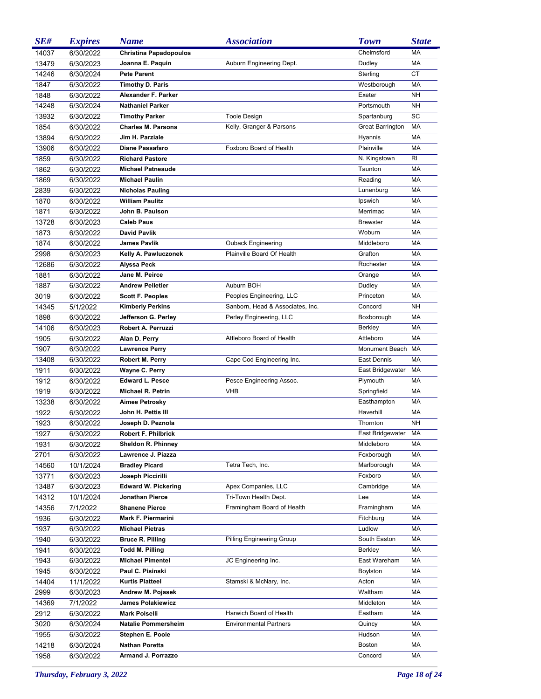| SE#   | <b>Expires</b> | <b>Name</b>                   | <i><b>Association</b></i>        | <b>Town</b>             | <b>State</b> |
|-------|----------------|-------------------------------|----------------------------------|-------------------------|--------------|
| 14037 | 6/30/2022      | <b>Christina Papadopoulos</b> |                                  | Chelmsford              | <b>MA</b>    |
| 13479 | 6/30/2023      | Joanna E. Paquin              | Auburn Engineering Dept.         | Dudley                  | MA           |
| 14246 | 6/30/2024      | <b>Pete Parent</b>            |                                  | Sterling                | <b>CT</b>    |
| 1847  | 6/30/2022      | <b>Timothy D. Paris</b>       |                                  | Westborough             | <b>MA</b>    |
| 1848  | 6/30/2022      | Alexander F. Parker           |                                  | Exeter                  | NH           |
| 14248 | 6/30/2024      | <b>Nathaniel Parker</b>       |                                  | Portsmouth              | <b>NH</b>    |
| 13932 | 6/30/2022      | <b>Timothy Parker</b>         | <b>Toole Design</b>              | Spartanburg             | SC           |
| 1854  | 6/30/2022      | <b>Charles M. Parsons</b>     | Kelly, Granger & Parsons         | <b>Great Barrington</b> | MA           |
| 13894 | 6/30/2022      | Jim H. Parziale               |                                  | Hyannis                 | <b>MA</b>    |
| 13906 | 6/30/2022      | Diane Passafaro               | Foxboro Board of Health          | Plainville              | MA           |
| 1859  | 6/30/2022      | <b>Richard Pastore</b>        |                                  | N. Kingstown            | <b>RI</b>    |
| 1862  | 6/30/2022      | <b>Michael Patneaude</b>      |                                  | Taunton                 | <b>MA</b>    |
| 1869  | 6/30/2022      | <b>Michael Paulin</b>         |                                  | Reading                 | <b>MA</b>    |
| 2839  | 6/30/2022      | <b>Nicholas Pauling</b>       |                                  | Lunenburg               | <b>MA</b>    |
| 1870  | 6/30/2022      | <b>William Paulitz</b>        |                                  | Ipswich                 | <b>MA</b>    |
| 1871  | 6/30/2022      | John B. Paulson               |                                  | Merrimac                | <b>MA</b>    |
| 13728 | 6/30/2023      | <b>Caleb Paus</b>             |                                  | <b>Brewster</b>         | <b>MA</b>    |
| 1873  | 6/30/2022      | <b>David Pavlik</b>           |                                  | Woburn                  | <b>MA</b>    |
| 1874  | 6/30/2022      | <b>James Pavlik</b>           | <b>Ouback Engineering</b>        | Middleboro              | <b>MA</b>    |
| 2998  | 6/30/2023      | Kelly A. Pawluczonek          | Plainville Board Of Health       | Grafton                 | <b>MA</b>    |
| 12686 | 6/30/2022      | Alyssa Peck                   |                                  | Rochester               | <b>MA</b>    |
| 1881  | 6/30/2022      | Jane M. Peirce                |                                  | Orange                  | <b>MA</b>    |
| 1887  | 6/30/2022      | <b>Andrew Pelletier</b>       | Auburn BOH                       | Dudley                  | <b>MA</b>    |
| 3019  | 6/30/2022      | <b>Scott F. Peoples</b>       | Peoples Engineering, LLC         | Princeton               | <b>MA</b>    |
| 14345 | 5/1/2022       | <b>Kimberly Perkins</b>       | Sanborn, Head & Associates, Inc. | Concord                 | <b>NH</b>    |
| 1898  | 6/30/2022      | Jefferson G. Perley           | Perley Engineering, LLC          | Boxborough              | MA           |
| 14106 | 6/30/2023      | Robert A. Perruzzi            |                                  | <b>Berkley</b>          | <b>MA</b>    |
| 1905  | 6/30/2022      | Alan D. Perry                 | Attleboro Board of Health        | Attleboro               | MA           |
| 1907  | 6/30/2022      | <b>Lawrence Perry</b>         |                                  | Monument Beach          | MA           |
| 13408 | 6/30/2022      | Robert M. Perry               | Cape Cod Engineering Inc.        | East Dennis             | <b>MA</b>    |
| 1911  | 6/30/2022      | Wayne C. Perry                |                                  | East Bridgewater        | МA           |
| 1912  | 6/30/2022      | <b>Edward L. Pesce</b>        | Pesce Engineering Assoc.         | Plymouth                | MA           |
| 1919  | 6/30/2022      | <b>Michael R. Petrin</b>      | <b>VHB</b>                       | Springfield             | MA           |
| 13238 | 6/30/2022      | Aimee Petrosky                |                                  | Easthampton             | MA           |
| 1922  | 6/30/2022      | John H. Pettis III            |                                  | Haverhill               | MA           |
| 1923  | 6/30/2022      | Joseph D. Peznola             |                                  | Thornton                | <b>NH</b>    |
| 1927  | 6/30/2022      | Robert F. Philbrick           |                                  | East Bridgewater        | МA           |
| 1931  | 6/30/2022      | <b>Sheldon R. Phinney</b>     |                                  | Middleboro              | МA           |
| 2701  | 6/30/2022      | Lawrence J. Piazza            |                                  | Foxborough              | МA           |
| 14560 | 10/1/2024      | <b>Bradley Picard</b>         | Tetra Tech, Inc.                 | Marlborough             | МA           |
| 13771 | 6/30/2023      | Joseph Piccirilli             |                                  | Foxboro                 | MA           |
| 13487 | 6/30/2023      | <b>Edward W. Pickering</b>    | Apex Companies, LLC              | Cambridge               | МA           |
| 14312 | 10/1/2024      | <b>Jonathan Pierce</b>        | Tri-Town Health Dept.            | Lee                     | МA           |
| 14356 | 7/1/2022       | <b>Shanene Pierce</b>         | Framingham Board of Health       | Framingham              | МA           |
| 1936  | 6/30/2022      | <b>Mark F. Piermarini</b>     |                                  | Fitchburg               | МA           |
| 1937  | 6/30/2022      | <b>Michael Pietras</b>        |                                  | Ludlow                  | МA           |
| 1940  | 6/30/2022      | <b>Bruce R. Pilling</b>       | <b>Pilling Engineering Group</b> | South Easton            | МA           |
| 1941  | 6/30/2022      | <b>Todd M. Pilling</b>        |                                  | <b>Berkley</b>          | МA           |
| 1943  | 6/30/2022      | <b>Michael Pimentel</b>       | JC Engineering Inc.              | East Wareham            | МA           |
| 1945  | 6/30/2022      | Paul C. Pisinski              |                                  | Boylston                | МA           |
| 14404 | 11/1/2022      | <b>Kurtis Platteel</b>        | Stamski & McNary, Inc.           | Acton                   | МA           |
| 2999  | 6/30/2023      | Andrew M. Pojasek             |                                  | Waltham                 | МA           |
| 14369 | 7/1/2022       | <b>James Polakiewicz</b>      |                                  | Middleton               | МA           |
| 2912  | 6/30/2022      | <b>Mark Polselli</b>          | Harwich Board of Health          | Eastham                 | МA           |
| 3020  | 6/30/2024      | <b>Natalie Pommersheim</b>    | <b>Environmental Partners</b>    | Quincy                  | МA           |
| 1955  | 6/30/2022      | Stephen E. Poole              |                                  | Hudson                  | МA           |
| 14218 | 6/30/2024      | <b>Nathan Poretta</b>         |                                  | <b>Boston</b>           | МA           |
| 1958  | 6/30/2022      | Armand J. Porrazzo            |                                  | Concord                 | MA           |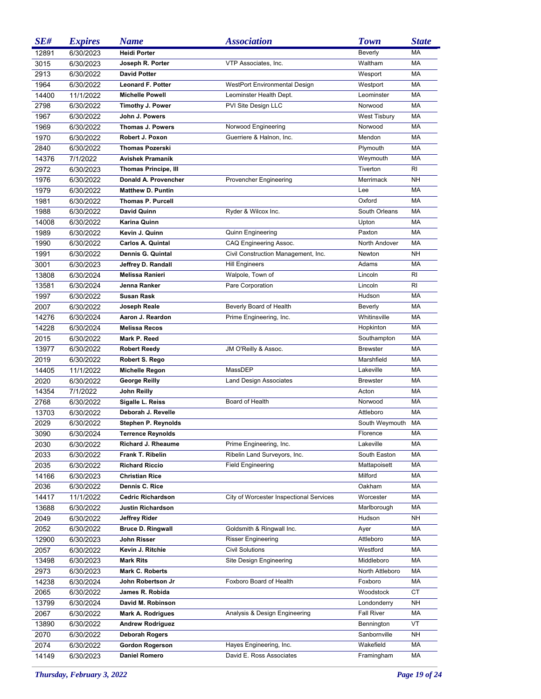| SE#   | <b>Expires</b> | <b>Name</b>                 | <i><b>Association</b></i>               | <b>Town</b>         | <b>State</b> |
|-------|----------------|-----------------------------|-----------------------------------------|---------------------|--------------|
| 12891 | 6/30/2023      | <b>Heidi Porter</b>         |                                         | <b>Beverly</b>      | MA           |
| 3015  | 6/30/2023      | Joseph R. Porter            | VTP Associates, Inc.                    | Waltham             | MA           |
| 2913  | 6/30/2022      | <b>David Potter</b>         |                                         | Wesport             | <b>MA</b>    |
| 1964  | 6/30/2022      | <b>Leonard F. Potter</b>    | <b>WestPort Environmental Design</b>    | Westport            | MA           |
| 14400 | 11/1/2022      | <b>Michelle Powell</b>      | Leominster Health Dept.                 | Leominster          | <b>MA</b>    |
| 2798  | 6/30/2022      | Timothy J. Power            | PVI Site Design LLC                     | Norwood             | MA           |
| 1967  | 6/30/2022      | John J. Powers              |                                         | <b>West Tisbury</b> | MA           |
| 1969  | 6/30/2022      | <b>Thomas J. Powers</b>     | Norwood Engineering                     | Norwood             | <b>MA</b>    |
| 1970  | 6/30/2022      | Robert J. Poxon             | Guerriere & Halnon, Inc.                | Mendon              | <b>MA</b>    |
| 2840  | 6/30/2022      | <b>Thomas Pozerski</b>      |                                         | Plymouth            | <b>MA</b>    |
| 14376 | 7/1/2022       | <b>Avishek Pramanik</b>     |                                         | Weymouth            | MA           |
| 2972  | 6/30/2023      | <b>Thomas Principe, III</b> |                                         | Tiverton            | <b>RI</b>    |
| 1976  | 6/30/2022      | Donald A. Provencher        | <b>Provencher Engineering</b>           | Merrimack           | <b>NH</b>    |
| 1979  | 6/30/2022      | <b>Matthew D. Puntin</b>    |                                         | Lee                 | <b>MA</b>    |
| 1981  | 6/30/2022      | <b>Thomas P. Purcell</b>    |                                         | Oxford              | <b>MA</b>    |
| 1988  | 6/30/2022      | David Quinn                 | Ryder & Wilcox Inc.                     | South Orleans       | MA           |
| 14008 | 6/30/2022      | Karina Quinn                |                                         | Upton               | <b>MA</b>    |
| 1989  | 6/30/2022      | Kevin J. Quinn              | <b>Quinn Engineering</b>                | Paxton              | <b>MA</b>    |
| 1990  | 6/30/2022      | <b>Carlos A. Quintal</b>    | CAQ Engineering Assoc.                  | North Andover       | <b>MA</b>    |
| 1991  | 6/30/2022      | Dennis G. Quintal           | Civil Construction Management, Inc.     | Newton              | <b>NH</b>    |
| 3001  |                |                             |                                         | Adams               | <b>MA</b>    |
|       | 6/30/2023      | Jeffrey D. Randall          | <b>Hill Engineers</b>                   |                     | RI           |
| 13808 | 6/30/2024      | <b>Melissa Ranieri</b>      | Walpole, Town of                        | Lincoln             |              |
| 13581 | 6/30/2024      | Jenna Ranker                | Pare Corporation                        | Lincoln             | <b>RI</b>    |
| 1997  | 6/30/2022      | <b>Susan Rask</b>           |                                         | Hudson              | <b>MA</b>    |
| 2007  | 6/30/2022      | Joseph Reale                | Beverly Board of Health                 | Beverly             | <b>MA</b>    |
| 14276 | 6/30/2024      | Aaron J. Reardon            | Prime Engineering, Inc.                 | Whitinsville        | MA           |
| 14228 | 6/30/2024      | <b>Melissa Recos</b>        |                                         | Hopkinton           | <b>MA</b>    |
| 2015  | 6/30/2022      | Mark P. Reed                |                                         | Southampton         | <b>MA</b>    |
| 13977 | 6/30/2022      | <b>Robert Reedy</b>         | JM O'Reilly & Assoc.                    | <b>Brewster</b>     | <b>MA</b>    |
| 2019  | 6/30/2022      | Robert S. Rego              |                                         | Marshfield          | <b>MA</b>    |
| 14405 | 11/1/2022      | <b>Michelle Regon</b>       | MassDEP                                 | Lakeville           | <b>MA</b>    |
| 2020  | 6/30/2022      | <b>George Reilly</b>        | <b>Land Design Associates</b>           | <b>Brewster</b>     | MA           |
| 14354 | 7/1/2022       | John Reilly                 |                                         | Acton               | MA           |
| 2768  | 6/30/2022      | Sigalle L. Reiss            | Board of Health                         | Norwood             | MA           |
| 13703 | 6/30/2022      | Deborah J. Revelle          |                                         | Attleboro           | <b>MA</b>    |
| 2029  | 6/30/2022      | Stephen P. Reynolds         |                                         | South Weymouth      | МA           |
| 3090  | 6/30/2024      | <b>Terrence Reynolds</b>    |                                         | Florence            | МA           |
| 2030  | 6/30/2022      | Richard J. Rheaume          | Prime Engineering, Inc.                 | Lakeville           | МA           |
| 2033  | 6/30/2022      | Frank T. Ribelin            | Ribelin Land Surveyors, Inc.            | South Easton        | МA           |
| 2035  | 6/30/2022      | <b>Richard Riccio</b>       | <b>Field Engineering</b>                | Mattapoisett        | МA           |
| 14166 | 6/30/2023      | <b>Christian Rice</b>       |                                         | Milford             | МA           |
| 2036  | 6/30/2022      | Dennis C. Rice              |                                         | Oakham              | МA           |
| 14417 | 11/1/2022      | <b>Cedric Richardson</b>    | City of Worcester Inspectional Services | Worcester           | МA           |
| 13688 | 6/30/2022      | Justin Richardson           |                                         | Marlborough         | МA           |
| 2049  | 6/30/2022      | Jeffrey Rider               |                                         | Hudson              | NΗ           |
| 2052  | 6/30/2022      | <b>Bruce D. Ringwall</b>    | Goldsmith & Ringwall Inc.               | Ayer                | MA           |
| 12900 | 6/30/2023      | John Risser                 | <b>Risser Engineering</b>               | Attleboro           | МA           |
| 2057  | 6/30/2022      | Kevin J. Ritchie            | <b>Civil Solutions</b>                  | Westford            | МA           |
| 13498 | 6/30/2023      | <b>Mark Rits</b>            | Site Design Engineering                 | Middleboro          | МA           |
| 2973  | 6/30/2023      | <b>Mark C. Roberts</b>      |                                         | North Attleboro     | МA           |
| 14238 | 6/30/2024      | John Robertson Jr           | Foxboro Board of Health                 | Foxboro             | МA           |
| 2065  | 6/30/2022      | James R. Robida             |                                         | Woodstock           | СT           |
| 13799 | 6/30/2024      | David M. Robinson           |                                         | Londonderry         | NΗ           |
| 2067  | 6/30/2022      | <b>Mark A. Rodrigues</b>    | Analysis & Design Engineering           | <b>Fall River</b>   | МA           |
| 13890 | 6/30/2022      | <b>Andrew Rodriguez</b>     |                                         | Bennington          | VT           |
| 2070  | 6/30/2022      | Deborah Rogers              |                                         | Sanbornville        | NΗ           |
| 2074  | 6/30/2022      | <b>Gordon Rogerson</b>      | Hayes Engineering, Inc.                 | Wakefield           | MA           |
| 14149 | 6/30/2023      | <b>Daniel Romero</b>        | David E. Ross Associates                | Framingham          | МA           |
|       |                |                             |                                         |                     |              |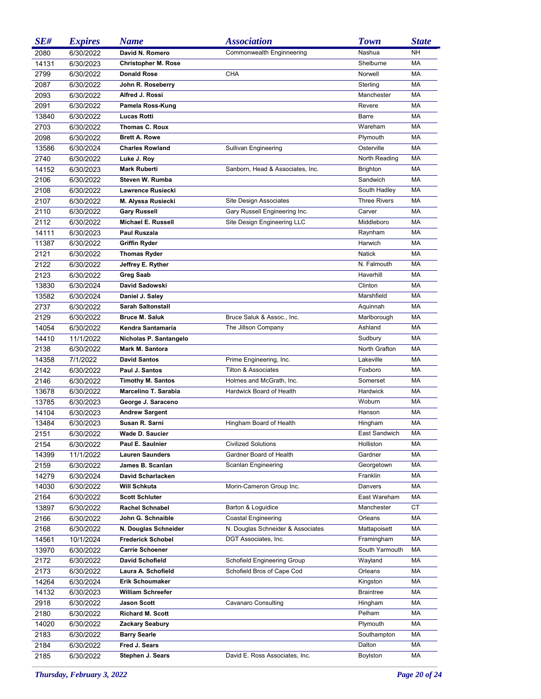| SE#   | <b>Expires</b> | <b>Name</b>                | <i><b>Association</b></i>         | <b>Town</b>         | <b>State</b> |
|-------|----------------|----------------------------|-----------------------------------|---------------------|--------------|
| 2080  | 6/30/2022      | David N. Romero            | Commonwealth Enginneering         | Nashua              | <b>NH</b>    |
| 14131 | 6/30/2023      | <b>Christopher M. Rose</b> |                                   | Shelburne           | <b>MA</b>    |
| 2799  | 6/30/2022      | <b>Donald Rose</b>         | <b>CHA</b>                        | Norwell             | <b>MA</b>    |
| 2087  | 6/30/2022      | John R. Roseberry          |                                   | Sterling            | <b>MA</b>    |
| 2093  | 6/30/2022      | Alfred J. Rossi            |                                   | Manchester          | <b>MA</b>    |
| 2091  | 6/30/2022      | Pamela Ross-Kung           |                                   | Revere              | <b>MA</b>    |
| 13840 | 6/30/2022      | <b>Lucas Rotti</b>         |                                   | Barre               | <b>MA</b>    |
| 2703  | 6/30/2022      | <b>Thomas C. Roux</b>      |                                   | Wareham             | <b>MA</b>    |
| 2098  | 6/30/2022      | <b>Brett A. Rowe</b>       |                                   | Plymouth            | <b>MA</b>    |
| 13586 | 6/30/2024      | <b>Charles Rowland</b>     | Sullivan Engineering              | Osterville          | <b>MA</b>    |
| 2740  | 6/30/2022      | Luke J. Roy                |                                   | North Reading       | <b>MA</b>    |
| 14152 | 6/30/2023      | <b>Mark Ruberti</b>        | Sanborn, Head & Associates, Inc.  | <b>Brighton</b>     | МA           |
| 2106  | 6/30/2022      | Steven W. Rumba            |                                   | Sandwich            | MA           |
| 2108  | 6/30/2022      | <b>Lawrence Rusiecki</b>   |                                   | South Hadley        | MA           |
| 2107  | 6/30/2022      | M. Alyssa Rusiecki         | Site Design Associates            | <b>Three Rivers</b> | МA           |
| 2110  | 6/30/2022      | <b>Gary Russell</b>        | Gary Russell Engineering Inc.     | Carver              | MA           |
| 2112  | 6/30/2022      | <b>Michael E. Russell</b>  | Site Design Engineering LLC       | Middleboro          | MA           |
| 14111 | 6/30/2023      | <b>Paul Ruszala</b>        |                                   | Raynham             | MA           |
| 11387 | 6/30/2022      | <b>Griffin Ryder</b>       |                                   | Harwich             | MA           |
| 2121  | 6/30/2022      | <b>Thomas Ryder</b>        |                                   | <b>Natick</b>       | MA           |
| 2122  | 6/30/2022      | Jeffrey E. Ryther          |                                   | N. Falmouth         | MA           |
| 2123  | 6/30/2022      | <b>Greg Saab</b>           |                                   | Haverhill           | <b>MA</b>    |
| 13830 | 6/30/2024      | David Sadowski             |                                   | Clinton             | MA           |
| 13582 | 6/30/2024      | Daniel J. Saley            |                                   | Marshfield          | MA           |
| 2737  | 6/30/2022      | <b>Sarah Saltonstall</b>   |                                   | Aquinnah            | MA           |
| 2129  | 6/30/2022      | <b>Bruce M. Saluk</b>      | Bruce Saluk & Assoc., Inc.        | Marlborough         | MA           |
| 14054 | 6/30/2022      | Kendra Santamaria          | The Jillson Company               | Ashland             | MA           |
| 14410 | 11/1/2022      | Nicholas P. Santangelo     |                                   | Sudbury             | MA           |
| 2138  | 6/30/2022      | Mark M. Santora            |                                   | North Grafton       | MA           |
| 14358 | 7/1/2022       | <b>David Santos</b>        | Prime Engineering, Inc.           | Lakeville           | MA           |
| 2142  | 6/30/2022      | Paul J. Santos             | <b>Tilton &amp; Associates</b>    | Foxboro             | MA           |
| 2146  | 6/30/2022      | <b>Timothy M. Santos</b>   | Holmes and McGrath, Inc.          | Somerset            | MA           |
| 13678 | 6/30/2022      | Marcelino T. Sarabia       | Hardwick Board of Health          | Hardwick            | МA           |
| 13785 | 6/30/2023      | George J. Saraceno         |                                   | Woburn              | <b>MA</b>    |
| 14104 | 6/30/2023      | <b>Andrew Sargent</b>      |                                   | Hanson              | MA           |
| 13484 | 6/30/2023      | Susan R. Sarni             | Hingham Board of Health           | Hingham             | <b>MA</b>    |
| 2151  | 6/30/2022      | Wade D. Saucier            |                                   | East Sandwich       | МA           |
| 2154  | 6/30/2022      | Paul E. Saulnier           | <b>Civilized Solutions</b>        | Holliston           | МA           |
| 14399 | 11/1/2022      | <b>Lauren Saunders</b>     | Gardner Board of Health           | Gardner             | МA           |
| 2159  | 6/30/2022      | James B. Scanlan           | Scanlan Engineering               | Georgetown          | МA           |
| 14279 | 6/30/2024      | David Scharlacken          |                                   | Franklin            | МA           |
| 14030 | 6/30/2022      | Will Schkuta               | Morin-Cameron Group Inc.          | Danvers             | МA           |
| 2164  | 6/30/2022      | <b>Scott Schluter</b>      |                                   | East Wareham        | МA           |
| 13897 | 6/30/2022      | Rachel Schnabel            | Barton & Loguidice                | Manchester          | СT           |
| 2166  | 6/30/2022      | John G. Schnaible          | <b>Coastal Engineering</b>        | Orleans             | МA           |
| 2168  | 6/30/2022      | N. Douglas Schneider       | N. Douglas Schneider & Associates | Mattapoisett        | МA           |
| 14561 | 10/1/2024      | <b>Frederick Schobel</b>   | DGT Associates, Inc.              | Framingham          | МA           |
| 13970 | 6/30/2022      | <b>Carrie Schoener</b>     |                                   | South Yarmouth      | МA           |
| 2172  | 6/30/2022      | David Schofield            | Schofield Engineering Group       | Wayland             | МA           |
| 2173  | 6/30/2022      | Laura A. Schofield         | Schofield Bros of Cape Cod        | Orleans             | МA           |
| 14264 | 6/30/2024      | <b>Erik Schoumaker</b>     |                                   | Kingston            | МA           |
| 14132 | 6/30/2023      | <b>William Schreefer</b>   |                                   | <b>Braintree</b>    | МA           |
| 2918  | 6/30/2022      | <b>Jason Scott</b>         | Cavanaro Consulting               | Hingham             | МA           |
| 2180  | 6/30/2022      | <b>Richard M. Scott</b>    |                                   | Pelham              | МA           |
| 14020 | 6/30/2022      | <b>Zackary Seabury</b>     |                                   | Plymouth            | МA           |
| 2183  | 6/30/2022      | <b>Barry Searle</b>        |                                   | Southampton         | МA           |
| 2184  | 6/30/2022      | Fred J. Sears              |                                   | Dalton              | МA           |
| 2185  | 6/30/2022      | Stephen J. Sears           | David E. Ross Associates, Inc.    | Boylston            | MA           |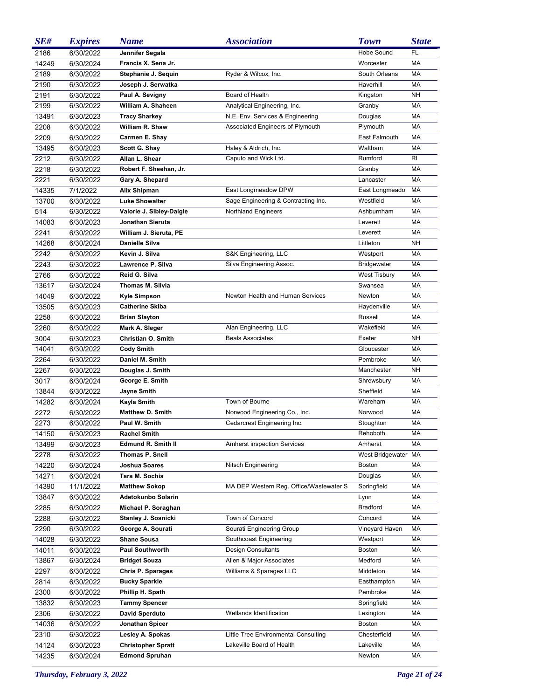| SE#   | <b>Expires</b> | <b>Name</b>               | <i><b>Association</b></i>               | <b>Town</b>             | <b>State</b> |
|-------|----------------|---------------------------|-----------------------------------------|-------------------------|--------------|
| 2186  | 6/30/2022      | Jennifer Segala           |                                         | Hobe Sound              | FL           |
| 14249 | 6/30/2024      | Francis X. Sena Jr.       |                                         | Worcester               | MA           |
| 2189  | 6/30/2022      | Stephanie J. Sequin       | Ryder & Wilcox, Inc.                    | South Orleans           | МA           |
| 2190  | 6/30/2022      | Joseph J. Serwatka        |                                         | Haverhill               | <b>MA</b>    |
| 2191  | 6/30/2022      | Paul A. Sevigny           | Board of Health                         | Kingston                | <b>NH</b>    |
| 2199  | 6/30/2022      | William A. Shaheen        | Analytical Engineering, Inc.            | Granby                  | MA           |
| 13491 | 6/30/2023      | <b>Tracy Sharkey</b>      | N.E. Env. Services & Engineering        | Douglas                 | MA           |
| 2208  | 6/30/2022      | William R. Shaw           | Associated Engineers of Plymouth        | Plymouth                | <b>MA</b>    |
| 2209  | 6/30/2022      | Carmen E. Shay            |                                         | East Falmouth           | <b>MA</b>    |
| 13495 |                | Scott G. Shay             | Haley & Aldrich, Inc.                   | Waltham                 | <b>MA</b>    |
|       | 6/30/2023      |                           |                                         | Rumford                 |              |
| 2212  | 6/30/2022      | Allan L. Shear            | Caputo and Wick Ltd.                    |                         | RI           |
| 2218  | 6/30/2022      | Robert F. Sheehan, Jr.    |                                         | Granby                  | MA           |
| 2221  | 6/30/2022      | Gary A. Shepard           |                                         | Lancaster               | <b>MA</b>    |
| 14335 | 7/1/2022       | Alix Shipman              | East Longmeadow DPW                     | East Longmeado          | <b>MA</b>    |
| 13700 | 6/30/2022      | <b>Luke Showalter</b>     | Sage Engineering & Contracting Inc.     | Westfield               | <b>MA</b>    |
| 514   | 6/30/2022      | Valorie J. Sibley-Daigle  | <b>Northland Engineers</b>              | Ashburnham              | MA           |
| 14083 | 6/30/2023      | Jonathan Sieruta          |                                         | Leverett                | <b>MA</b>    |
| 2241  | 6/30/2022      | William J. Sieruta, PE    |                                         | Leverett                | <b>MA</b>    |
| 14268 | 6/30/2024      | Danielle Silva            |                                         | Littleton               | <b>NH</b>    |
| 2242  | 6/30/2022      | Kevin J. Silva            | S&K Engineering, LLC                    | Westport                | MA           |
| 2243  | 6/30/2022      | Lawrence P. Silva         | Silva Engineering Assoc.                | <b>Bridgewater</b>      | MA           |
| 2766  | 6/30/2022      | Reid G. Silva             |                                         | <b>West Tisbury</b>     | MA           |
| 13617 | 6/30/2024      | Thomas M. Silvia          |                                         | Swansea                 | <b>MA</b>    |
| 14049 | 6/30/2022      | <b>Kyle Simpson</b>       | Newton Health and Human Services        | Newton                  | <b>MA</b>    |
| 13505 | 6/30/2023      | <b>Catherine Skiba</b>    |                                         | Haydenville             | <b>MA</b>    |
| 2258  | 6/30/2022      | <b>Brian Slayton</b>      |                                         | Russell                 | MA           |
| 2260  | 6/30/2022      | Mark A. Sleger            | Alan Engineering, LLC                   | Wakefield               | <b>MA</b>    |
| 3004  | 6/30/2023      | <b>Christian O. Smith</b> | <b>Beals Associates</b>                 | Exeter                  | <b>NH</b>    |
| 14041 | 6/30/2022      | <b>Cody Smith</b>         |                                         | Gloucester              | <b>MA</b>    |
| 2264  | 6/30/2022      | Daniel M. Smith           |                                         | Pembroke                | <b>MA</b>    |
| 2267  | 6/30/2022      | Douglas J. Smith          |                                         | Manchester              | <b>NH</b>    |
|       |                |                           |                                         |                         | MA           |
| 3017  | 6/30/2024      | George E. Smith           |                                         | Shrewsbury<br>Sheffield | <b>MA</b>    |
| 13844 | 6/30/2022      | Jayne Smith               | Town of Bourne                          | Wareham                 | <b>MA</b>    |
| 14282 | 6/30/2024      | Kayla Smith               |                                         |                         |              |
| 2272  | 6/30/2022      | <b>Matthew D. Smith</b>   | Norwood Engineering Co., Inc.           | Norwood                 | MA           |
| 2273  | 6/30/2022      | Paul W. Smith             | Cedarcrest Engineering Inc.             | Stoughton               | <b>MA</b>    |
| 14150 | 6/30/2023      | Rachel Smith              |                                         | Rehoboth                | МA           |
| 13499 | 6/30/2023      | <b>Edmund R. Smith II</b> | <b>Amherst inspection Services</b>      | Amherst                 | <b>MA</b>    |
| 2278  | 6/30/2022      | Thomas P. Snell           |                                         | West Bridgewater MA     |              |
| 14220 | 6/30/2024      | Joshua Soares             | Nitsch Engineering                      | <b>Boston</b>           | MA           |
| 14271 | 6/30/2024      | Tara M. Sochia            |                                         | Douglas                 | MA           |
| 14390 | 11/1/2022      | <b>Matthew Sokop</b>      | MA DEP Western Reg. Office/Wastewater S | Springfield             | MA           |
| 13847 | 6/30/2022      | Adetokunbo Solarin        |                                         | Lynn                    | MA           |
| 2285  | 6/30/2022      | Michael P. Soraghan       |                                         | Bradford                | MA           |
| 2288  | 6/30/2022      | Stanley J. Sosnicki       | Town of Concord                         | Concord                 | MA           |
| 2290  | 6/30/2022      | George A. Sourati         | Sourati Engineering Group               | Vineyard Haven          | MA           |
| 14028 | 6/30/2022      | <b>Shane Sousa</b>        | Southcoast Engineering                  | Westport                | MA           |
| 14011 | 6/30/2022      | <b>Paul Southworth</b>    | Design Consultants                      | Boston                  | МA           |
| 13867 | 6/30/2024      | <b>Bridget Souza</b>      | Allen & Major Associates                | Medford                 | MA           |
| 2297  | 6/30/2022      | <b>Chris P. Sparages</b>  | Williams & Sparages LLC                 | Middleton               | MA           |
| 2814  | 6/30/2022      | <b>Bucky Sparkle</b>      |                                         | Easthampton             | МA           |
| 2300  | 6/30/2022      | Phillip H. Spath          |                                         | Pembroke                | MA           |
| 13832 | 6/30/2023      | <b>Tammy Spencer</b>      |                                         | Springfield             | МA           |
| 2306  | 6/30/2022      | David Sperduto            | Wetlands Identification                 | Lexington               | МA           |
| 14036 | 6/30/2022      | Jonathan Spicer           |                                         | <b>Boston</b>           | MA           |
| 2310  | 6/30/2022      | Lesley A. Spokas          | Little Tree Environmental Consulting    | Chesterfield            | МA           |
| 14124 |                | <b>Christopher Spratt</b> | Lakeville Board of Health               | Lakeville               | MA           |
|       | 6/30/2023      |                           |                                         |                         | МA           |
| 14235 | 6/30/2024      | <b>Edmond Spruhan</b>     |                                         | Newton                  |              |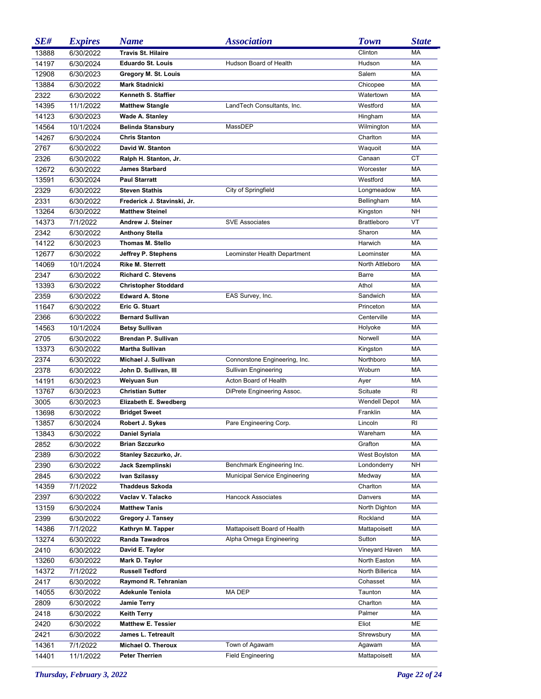| SE#          | <b>Expires</b>         | <b>Name</b>                                | <i><b>Association</b></i>                                   | <b>Town</b>        | <b>State</b> |
|--------------|------------------------|--------------------------------------------|-------------------------------------------------------------|--------------------|--------------|
| 13888        | 6/30/2022              | <b>Travis St. Hilaire</b>                  |                                                             | Clinton            | <b>MA</b>    |
| 14197        | 6/30/2024              | <b>Eduardo St. Louis</b>                   | Hudson Board of Health                                      | Hudson             | <b>MA</b>    |
| 12908        | 6/30/2023              | Gregory M. St. Louis                       |                                                             | Salem              | <b>MA</b>    |
| 13884        | 6/30/2022              | <b>Mark Stadnicki</b>                      |                                                             | Chicopee           | <b>MA</b>    |
| 2322         | 6/30/2022              | Kenneth S. Staffier                        |                                                             | Watertown          | <b>MA</b>    |
| 14395        | 11/1/2022              | <b>Matthew Stangle</b>                     | LandTech Consultants, Inc.                                  | Westford           | MA           |
| 14123        | 6/30/2023              | Wade A. Stanley                            |                                                             | Hingham            | <b>MA</b>    |
| 14564        | 10/1/2024              | <b>Belinda Stansbury</b>                   | MassDEP                                                     | Wilmington         | <b>MA</b>    |
| 14267        | 6/30/2024              | <b>Chris Stanton</b>                       |                                                             | Charlton           | <b>MA</b>    |
| 2767         | 6/30/2022              | David W. Stanton                           |                                                             | Waquoit            | MA           |
| 2326         | 6/30/2022              | Ralph H. Stanton, Jr.                      |                                                             | Canaan             | СT           |
| 12672        | 6/30/2022              | <b>James Starbard</b>                      |                                                             | Worcester          | <b>MA</b>    |
| 13591        | 6/30/2024              | <b>Paul Starratt</b>                       |                                                             | Westford           | <b>MA</b>    |
| 2329         | 6/30/2022              | <b>Steven Stathis</b>                      | City of Springfield                                         | Longmeadow         | <b>MA</b>    |
| 2331         | 6/30/2022              | Frederick J. Stavinski, Jr.                |                                                             | Bellingham         | <b>MA</b>    |
| 13264        | 6/30/2022              | <b>Matthew Steinel</b>                     |                                                             | Kingston           | <b>NH</b>    |
| 14373        | 7/1/2022               | Andrew J. Steiner                          | <b>SVE Associates</b>                                       | <b>Brattleboro</b> | VT           |
| 2342         | 6/30/2022              | <b>Anthony Stella</b>                      |                                                             | Sharon             | <b>MA</b>    |
| 14122        | 6/30/2023              | Thomas M. Stello                           |                                                             | Harwich            | <b>MA</b>    |
| 12677        | 6/30/2022              | Jeffrey P. Stephens                        | Leominster Health Department                                | Leominster         | <b>MA</b>    |
| 14069        | 10/1/2024              | <b>Rike M. Sterrett</b>                    |                                                             | North Attleboro    | <b>MA</b>    |
| 2347         | 6/30/2022              | <b>Richard C. Stevens</b>                  |                                                             | Barre              | <b>MA</b>    |
| 13393        | 6/30/2022              | <b>Christopher Stoddard</b>                |                                                             | Athol              | <b>MA</b>    |
| 2359         | 6/30/2022              | <b>Edward A. Stone</b>                     | EAS Survey, Inc.                                            | Sandwich           | <b>MA</b>    |
| 11647        | 6/30/2022              | Eric G. Stuart                             |                                                             | Princeton          | <b>MA</b>    |
| 2366         | 6/30/2022              | <b>Bernard Sullivan</b>                    |                                                             | Centerville        | <b>MA</b>    |
| 14563        | 10/1/2024              | <b>Betsy Sullivan</b>                      |                                                             | Holyoke            | <b>MA</b>    |
| 2705         | 6/30/2022              | <b>Brendan P. Sullivan</b>                 |                                                             | Norwell            | <b>MA</b>    |
| 13373        | 6/30/2022              | <b>Martha Sullivan</b>                     |                                                             | Kingston           | <b>MA</b>    |
| 2374         | 6/30/2022              | Michael J. Sullivan                        | Connorstone Engineering, Inc.                               | Northboro          | <b>MA</b>    |
| 2378         | 6/30/2022              | John D. Sullivan, III                      | Sullivan Engineering                                        | Woburn             | <b>MA</b>    |
| 14191        | 6/30/2023              | <b>Weiyuan Sun</b>                         | Acton Board of Health                                       | Ayer               | <b>MA</b>    |
| 13767        | 6/30/2023              | <b>Christian Sutter</b>                    | DiPrete Engineering Assoc.                                  | Scituate           | RI           |
| 3005         | 6/30/2023              | Elizabeth E. Swedberg                      |                                                             | Wendell Depot      | MA           |
| 13698        | 6/30/2022              | <b>Bridget Sweet</b>                       |                                                             | Franklin           | MA           |
| 13857        | 6/30/2024              | Robert J. Sykes                            | Pare Engineering Corp.                                      | Lincoln            | RI           |
| 13843        |                        |                                            |                                                             | Wareham            | МA           |
|              | 6/30/2022              | Daniel Syriala<br><b>Brian Szczurko</b>    |                                                             | Grafton            | МA           |
| 2852         | 6/30/2022<br>6/30/2022 | Stanley Szczurko, Jr.                      |                                                             | West Boylston      | МA           |
| 2389         |                        |                                            |                                                             | Londonderry        | NΗ           |
| 2390<br>2845 | 6/30/2022<br>6/30/2022 | Jack Szemplinski<br>Ivan Szilassy          | Benchmark Engineering Inc.<br>Municipal Service Engineering | Medway             | МA           |
| 14359        | 7/1/2022               | <b>Thaddeus Szkoda</b>                     |                                                             | Charlton           | МA           |
| 2397         | 6/30/2022              | Vaclav V. Talacko                          | <b>Hancock Associates</b>                                   | Danvers            | МA           |
| 13159        | 6/30/2024              | <b>Matthew Tanis</b>                       |                                                             | North Dighton      | МA           |
| 2399         |                        |                                            |                                                             |                    | МA           |
|              | 6/30/2022              | Gregory J. Tansey                          |                                                             | Rockland           |              |
| 14386        | 7/1/2022               | Kathryn M. Tapper<br><b>Randa Tawadros</b> | Mattapoisett Board of Health                                | Mattapoisett       | МA           |
| 13274        | 6/30/2022              |                                            | Alpha Omega Engineering                                     | Sutton             | МA           |
| 2410         | 6/30/2022              | David E. Taylor                            |                                                             | Vineyard Haven     | МA           |
| 13260        | 6/30/2022              | Mark D. Taylor                             |                                                             | North Easton       | МA           |
| 14372        | 7/1/2022               | <b>Russell Tedford</b>                     |                                                             | North Billerica    | МA           |
| 2417         | 6/30/2022              | Raymond R. Tehranian                       |                                                             | Cohasset           | МA           |
| 14055        | 6/30/2022              | <b>Adekunle Teniola</b>                    | MA DEP                                                      | Taunton            | МA           |
| 2809         | 6/30/2022              | <b>Jamie Terry</b>                         |                                                             | Charlton           | МA           |
| 2418         | 6/30/2022              | <b>Keith Terry</b>                         |                                                             | Palmer             | МA           |
| 2420         | 6/30/2022              | <b>Matthew E. Tessier</b>                  |                                                             | Eliot              | ME           |
| 2421         | 6/30/2022              | James L. Tetreault                         |                                                             | Shrewsbury         | МA           |
| 14361        | 7/1/2022               | Michael O. Theroux                         | Town of Agawam                                              | Agawam             | МA           |
| 14401        | 11/1/2022              | <b>Peter Therrien</b>                      | <b>Field Engineering</b>                                    | Mattapoisett       | MA           |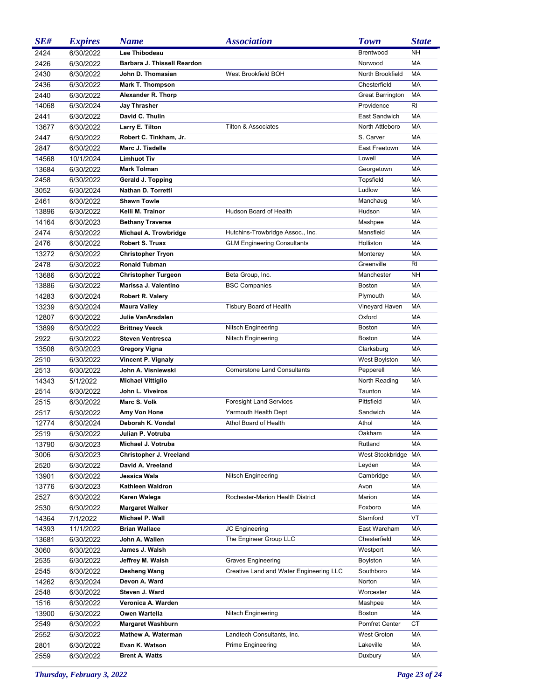| SE#   | <b>Expires</b> | <b>Name</b>                 | <i><b>Association</b></i>               | <b>Town</b>             | <b>State</b> |
|-------|----------------|-----------------------------|-----------------------------------------|-------------------------|--------------|
| 2424  | 6/30/2022      | Lee Thibodeau               |                                         | Brentwood               | <b>NH</b>    |
| 2426  | 6/30/2022      | Barbara J. Thissell Reardon |                                         | Norwood                 | <b>MA</b>    |
| 2430  | 6/30/2022      | John D. Thomasian           | West Brookfield BOH                     | North Brookfield        | <b>MA</b>    |
| 2436  | 6/30/2022      | <b>Mark T. Thompson</b>     |                                         | Chesterfield            | <b>MA</b>    |
| 2440  | 6/30/2022      | Alexander R. Thorp          |                                         | <b>Great Barrington</b> | MA           |
| 14068 | 6/30/2024      | Jay Thrasher                |                                         | Providence              | RI.          |
| 2441  | 6/30/2022      | David C. Thulin             |                                         | East Sandwich           | <b>MA</b>    |
| 13677 | 6/30/2022      | Larry E. Tilton             | <b>Tilton &amp; Associates</b>          | North Attleboro         | <b>MA</b>    |
| 2447  | 6/30/2022      | Robert C. Tinkham, Jr.      |                                         | S. Carver               | <b>MA</b>    |
| 2847  | 6/30/2022      | Marc J. Tisdelle            |                                         | East Freetown           | <b>MA</b>    |
| 14568 | 10/1/2024      | <b>Limhuot Tiv</b>          |                                         | Lowell                  | <b>MA</b>    |
| 13684 | 6/30/2022      | <b>Mark Tolman</b>          |                                         | Georgetown              | MA           |
| 2458  | 6/30/2022      | Gerald J. Topping           |                                         | Topsfield               | MA           |
| 3052  | 6/30/2024      | Nathan D. Torretti          |                                         | Ludlow                  | MA           |
| 2461  | 6/30/2022      | <b>Shawn Towle</b>          |                                         | Manchaug                | MA           |
| 13896 | 6/30/2022      | Kelli M. Trainor            | Hudson Board of Health                  | Hudson                  | MA           |
| 14164 | 6/30/2023      | <b>Bethany Traverse</b>     |                                         | Mashpee                 | MA           |
| 2474  | 6/30/2022      | Michael A. Trowbridge       | Hutchins-Trowbridge Assoc., Inc.        | Mansfield               | МA           |
| 2476  | 6/30/2022      | <b>Robert S. Truax</b>      | <b>GLM Engineering Consultants</b>      | Holliston               | MA           |
| 13272 | 6/30/2022      | <b>Christopher Tryon</b>    |                                         | Monterey                | MA           |
| 2478  | 6/30/2022      | <b>Ronald Tubman</b>        |                                         | Greenville              | RI           |
| 13686 | 6/30/2022      | <b>Christopher Turgeon</b>  | Beta Group, Inc.                        | Manchester              | <b>NH</b>    |
| 13886 | 6/30/2022      | Marissa J. Valentino        | <b>BSC Companies</b>                    | Boston                  | MA           |
| 14283 | 6/30/2024      | Robert R. Valery            |                                         | Plymouth                | MA           |
| 13239 | 6/30/2024      | <b>Maura Valley</b>         | Tisbury Board of Health                 | Vineyard Haven          | MA           |
| 12807 | 6/30/2022      | Julie VanArsdalen           |                                         | Oxford                  | MA           |
| 13899 | 6/30/2022      | <b>Brittney Veeck</b>       | Nitsch Engineering                      | <b>Boston</b>           | MA           |
| 2922  | 6/30/2022      | <b>Steven Ventresca</b>     | Nitsch Engineering                      | <b>Boston</b>           | MA           |
| 13508 | 6/30/2023      | <b>Gregory Vigna</b>        |                                         | Clarksburg              | MA           |
| 2510  | 6/30/2022      | Vincent P. Vignaly          |                                         | West Boylston           | MA           |
| 2513  | 6/30/2022      | John A. Visniewski          | <b>Cornerstone Land Consultants</b>     | Pepperell               | MA           |
| 14343 | 5/1/2022       | <b>Michael Vittiglio</b>    |                                         | North Reading           | MA           |
| 2514  | 6/30/2022      | John L. Viveiros            |                                         | Taunton                 | <b>MA</b>    |
| 2515  | 6/30/2022      | Marc S. Volk                | <b>Foresight Land Services</b>          | Pittsfield              | <b>MA</b>    |
| 2517  | 6/30/2022      | Amy Von Hone                | Yarmouth Health Dept                    | Sandwich                | MA           |
| 12774 | 6/30/2024      | Deborah K. Vondal           | Athol Board of Health                   | Athol                   | <b>MA</b>    |
| 2519  | 6/30/2022      | Julian P. Votruba           |                                         | Oakham                  | МA           |
| 13790 | 6/30/2023      | Michael J. Votruba          |                                         | Rutland                 | МA           |
| 3006  | 6/30/2023      | Christopher J. Vreeland     |                                         | West Stockbridge MA     |              |
| 2520  | 6/30/2022      | David A. Vreeland           |                                         | Leyden                  | МA           |
| 13901 | 6/30/2022      | Jessica Wala                | Nitsch Engineering                      | Cambridge               | МA           |
| 13776 | 6/30/2023      | Kathleen Waldron            |                                         | Avon                    | МA           |
| 2527  | 6/30/2022      | Karen Walega                | Rochester-Marion Health District        | Marion                  | МA           |
| 2530  | 6/30/2022      | <b>Margaret Walker</b>      |                                         | Foxboro                 | МA           |
| 14364 | 7/1/2022       | Michael P. Wall             |                                         | Stamford                | VT           |
| 14393 | 11/1/2022      | <b>Brian Wallace</b>        | JC Engineering                          | East Wareham            | МA           |
| 13681 | 6/30/2022      | John A. Wallen              | The Engineer Group LLC                  | Chesterfield            | МA           |
| 3060  | 6/30/2022      | James J. Walsh              |                                         | Westport                | МA           |
| 2535  | 6/30/2022      | Jeffrey M. Walsh            | <b>Graves Engineering</b>               | Boylston                | МA           |
| 2545  | 6/30/2022      | Desheng Wang                | Creative Land and Water Engineering LLC | Southboro               | МA           |
| 14262 | 6/30/2024      | Devon A. Ward               |                                         | Norton                  | МA           |
| 2548  | 6/30/2022      | Steven J. Ward              |                                         | Worcester               | МA           |
| 1516  | 6/30/2022      | Veronica A. Warden          |                                         | Mashpee                 | МA           |
| 13900 | 6/30/2022      | Owen Wartella               | Nitsch Engineering                      | <b>Boston</b>           | МA           |
| 2549  | 6/30/2022      | <b>Margaret Washburn</b>    |                                         | <b>Pomfret Center</b>   | СT           |
| 2552  | 6/30/2022      | <b>Mathew A. Waterman</b>   | Landtech Consultants, Inc.              | <b>West Groton</b>      | МA           |
| 2801  | 6/30/2022      | Evan K. Watson              | Prime Engineering                       | Lakeville               | МA           |
| 2559  | 6/30/2022      | <b>Brent A. Watts</b>       |                                         | Duxbury                 | МA           |